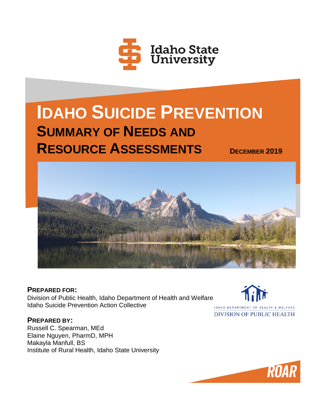

# **IDAHO SUICIDE PREVENTION SUMMARY OF NEEDS AND RESOURCE ASSESSMENTS <sup>D</sup>ECEMBER <sup>2019</sup>**



**PREPARED FOR:** Division of Public Health, Idaho Department of Health and Welfare Idaho Suicide Prevention Action Collective

**PREPARED BY:**

Russell C. Spearman, MEd Elaine Nguyen, PharmD, MPH Makayla Manfull, BS Institute of Rural Health, Idaho State University



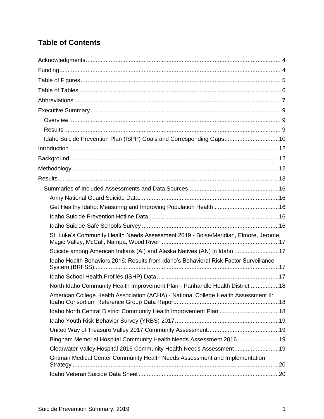# **Table of Contents**

| Idaho Suicide Prevention Plan (ISPP) Goals and Corresponding Gaps10                   |  |
|---------------------------------------------------------------------------------------|--|
|                                                                                       |  |
|                                                                                       |  |
|                                                                                       |  |
|                                                                                       |  |
|                                                                                       |  |
|                                                                                       |  |
|                                                                                       |  |
|                                                                                       |  |
|                                                                                       |  |
| St. Luke's Community Health Needs Assessment 2019 - Boise/Meridian, Elmore, Jerome,   |  |
| Suicide among American Indians (AI) and Alaska Natives (AN) in Idaho 17               |  |
| Idaho Health Behaviors 2016: Results from Idaho's Behavioral Risk Factor Surveillance |  |
|                                                                                       |  |
| North Idaho Community Health Improvement Plan - Panhandle Health District 18          |  |
| American College Health Association (ACHA) - National College Health Assessment II:   |  |
| Idaho North Central District Community Health Improvement Plan 18                     |  |
|                                                                                       |  |
|                                                                                       |  |
| Bingham Memorial Hospital Community Health Needs Assessment 2016 19                   |  |
| Clearwater Valley Hospital 2016 Community Health Needs Assessment19                   |  |
| Gritman Medical Center Community Health Needs Assessment and Implementation           |  |
|                                                                                       |  |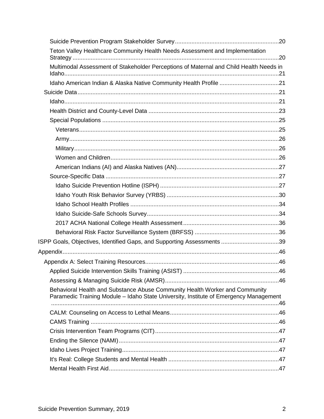| Teton Valley Healthcare Community Health Needs Assessment and Implementation                                                                                         |  |
|----------------------------------------------------------------------------------------------------------------------------------------------------------------------|--|
|                                                                                                                                                                      |  |
| Multimodal Assessment of Stakeholder Perceptions of Maternal and Child Health Needs in                                                                               |  |
|                                                                                                                                                                      |  |
|                                                                                                                                                                      |  |
|                                                                                                                                                                      |  |
|                                                                                                                                                                      |  |
|                                                                                                                                                                      |  |
|                                                                                                                                                                      |  |
|                                                                                                                                                                      |  |
|                                                                                                                                                                      |  |
|                                                                                                                                                                      |  |
|                                                                                                                                                                      |  |
|                                                                                                                                                                      |  |
|                                                                                                                                                                      |  |
|                                                                                                                                                                      |  |
|                                                                                                                                                                      |  |
|                                                                                                                                                                      |  |
|                                                                                                                                                                      |  |
|                                                                                                                                                                      |  |
| ISPP Goals, Objectives, Identified Gaps, and Supporting Assessments 39                                                                                               |  |
|                                                                                                                                                                      |  |
|                                                                                                                                                                      |  |
|                                                                                                                                                                      |  |
|                                                                                                                                                                      |  |
| Behavioral Health and Substance Abuse Community Health Worker and Community<br>Paramedic Training Module - Idaho State University, Institute of Emergency Management |  |
|                                                                                                                                                                      |  |
|                                                                                                                                                                      |  |
|                                                                                                                                                                      |  |
|                                                                                                                                                                      |  |
|                                                                                                                                                                      |  |
|                                                                                                                                                                      |  |
|                                                                                                                                                                      |  |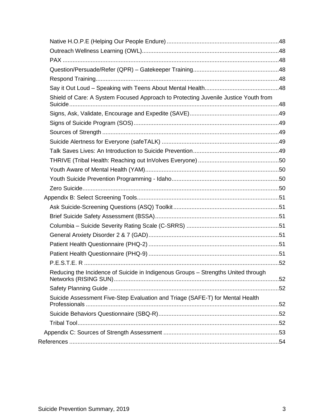| Shield of Care: A System Focused Approach to Protecting Juvenile Justice Youth from |  |
|-------------------------------------------------------------------------------------|--|
|                                                                                     |  |
|                                                                                     |  |
|                                                                                     |  |
|                                                                                     |  |
|                                                                                     |  |
|                                                                                     |  |
|                                                                                     |  |
|                                                                                     |  |
|                                                                                     |  |
|                                                                                     |  |
|                                                                                     |  |
|                                                                                     |  |
|                                                                                     |  |
|                                                                                     |  |
|                                                                                     |  |
|                                                                                     |  |
|                                                                                     |  |
| Reducing the Incidence of Suicide in Indigenous Groups - Strengths United through   |  |
|                                                                                     |  |
| Suicide Assessment Five-Step Evaluation and Triage (SAFE-T) for Mental Health       |  |
|                                                                                     |  |
|                                                                                     |  |
|                                                                                     |  |
|                                                                                     |  |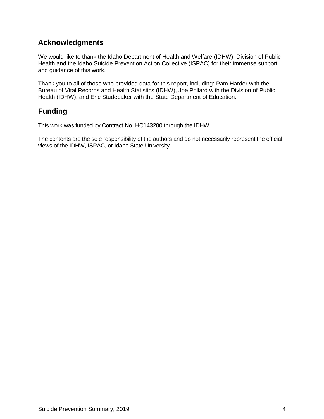# **Acknowledgments**

We would like to thank the Idaho Department of Health and Welfare (IDHW), Division of Public Health and the Idaho Suicide Prevention Action Collective (ISPAC) for their immense support and guidance of this work.

Thank you to all of those who provided data for this report, including: Pam Harder with the Bureau of Vital Records and Health Statistics (IDHW), Joe Pollard with the Division of Public Health (IDHW), and Eric Studebaker with the State Department of Education.

# **Funding**

This work was funded by Contract No. HC143200 through the IDHW.

The contents are the sole responsibility of the authors and do not necessarily represent the official views of the IDHW, ISPAC, or Idaho State University.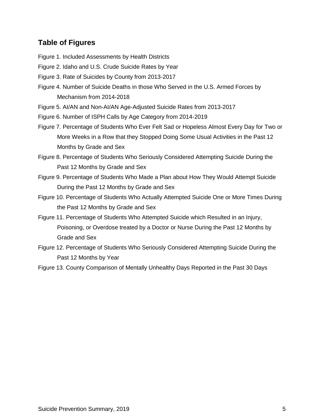## **Table of Figures**

- Figure 1. Included Assessments by Health Districts
- Figure 2. Idaho and U.S. Crude Suicide Rates by Year
- Figure 3. Rate of Suicides by County from 2013-2017
- Figure 4. Number of Suicide Deaths in those Who Served in the U.S. Armed Forces by Mechanism from 2014-2018
- Figure 5. AI/AN and Non-AI/AN Age-Adjusted Suicide Rates from 2013-2017
- Figure 6. Number of ISPH Calls by Age Category from 2014-2019
- Figure 7. Percentage of Students Who Ever Felt Sad or Hopeless Almost Every Day for Two or More Weeks in a Row that they Stopped Doing Some Usual Activities in the Past 12 Months by Grade and Sex
- Figure 8. Percentage of Students Who Seriously Considered Attempting Suicide During the Past 12 Months by Grade and Sex
- Figure 9. Percentage of Students Who Made a Plan about How They Would Attempt Suicide During the Past 12 Months by Grade and Sex
- Figure 10. Percentage of Students Who Actually Attempted Suicide One or More Times During the Past 12 Months by Grade and Sex
- Figure 11. Percentage of Students Who Attempted Suicide which Resulted in an Injury, Poisoning, or Overdose treated by a Doctor or Nurse During the Past 12 Months by Grade and Sex
- Figure 12. Percentage of Students Who Seriously Considered Attempting Suicide During the Past 12 Months by Year
- Figure 13. County Comparison of Mentally Unhealthy Days Reported in the Past 30 Days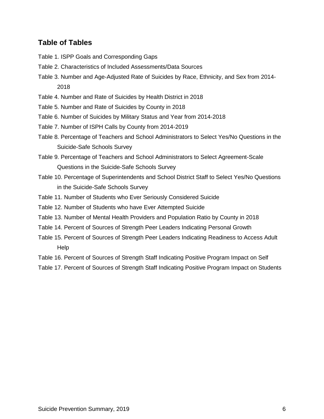## **Table of Tables**

- Table 1. ISPP Goals and Corresponding Gaps
- Table 2. Characteristics of Included Assessments/Data Sources
- Table 3. Number and Age-Adjusted Rate of Suicides by Race, Ethnicity, and Sex from 2014- 2018
- Table 4. Number and Rate of Suicides by Health District in 2018
- Table 5. Number and Rate of Suicides by County in 2018
- Table 6. Number of Suicides by Military Status and Year from 2014-2018
- Table 7. Number of ISPH Calls by County from 2014-2019
- Table 8. Percentage of Teachers and School Administrators to Select Yes/No Questions in the Suicide-Safe Schools Survey
- Table 9. Percentage of Teachers and School Administrators to Select Agreement-Scale Questions in the Suicide-Safe Schools Survey
- Table 10. Percentage of Superintendents and School District Staff to Select Yes/No Questions in the Suicide-Safe Schools Survey
- Table 11. Number of Students who Ever Seriously Considered Suicide
- Table 12. Number of Students who have Ever Attempted Suicide
- Table 13. Number of Mental Health Providers and Population Ratio by County in 2018
- Table 14. Percent of Sources of Strength Peer Leaders Indicating Personal Growth
- Table 15. Percent of Sources of Strength Peer Leaders Indicating Readiness to Access Adult Help
- Table 16. Percent of Sources of Strength Staff Indicating Positive Program Impact on Self
- Table 17. Percent of Sources of Strength Staff Indicating Positive Program Impact on Students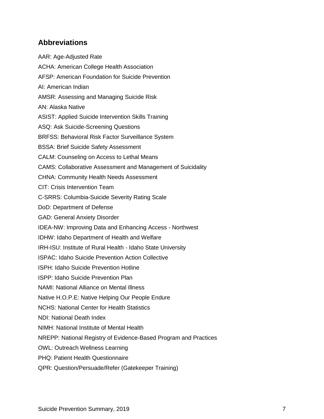## **Abbreviations**

AAR: Age-Adjusted Rate ACHA: American College Health Association AFSP: American Foundation for Suicide Prevention AI: American Indian AMSR: Assessing and Managing Suicide Risk AN: Alaska Native ASIST: Applied Suicide Intervention Skills Training ASQ: Ask Suicide-Screening Questions BRFSS: Behavioral Risk Factor Surveillance System BSSA: Brief Suicide Safety Assessment CALM: Counseling on Access to Lethal Means CAMS: Collaborative Assessment and Management of Suicidality CHNA: Community Health Needs Assessment CIT: Crisis Intervention Team C-SRRS: Columbia-Suicide Severity Rating Scale DoD: Department of Defense GAD: General Anxiety Disorder IDEA-NW: Improving Data and Enhancing Access - Northwest IDHW: Idaho Department of Health and Welfare IRH-ISU: Institute of Rural Health - Idaho State University ISPAC: Idaho Suicide Prevention Action Collective ISPH: Idaho Suicide Prevention Hotline ISPP: Idaho Suicide Prevention Plan NAMI: National Alliance on Mental Illness Native H.O.P.E: Native Helping Our People Endure NCHS: National Center for Health Statistics NDI: National Death Index NIMH: National Institute of Mental Health NREPP: National Registry of Evidence-Based Program and Practices OWL: Outreach Wellness Learning PHQ: Patient Health Questionnaire QPR: Question/Persuade/Refer (Gatekeeper Training)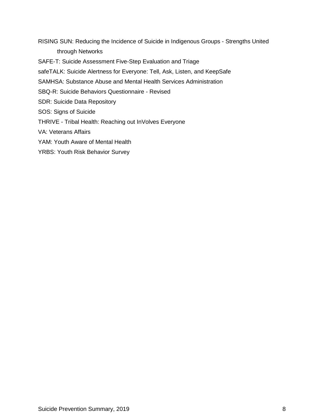RISING SUN: Reducing the Incidence of Suicide in Indigenous Groups - Strengths United through Networks

SAFE-T: Suicide Assessment Five-Step Evaluation and Triage

safeTALK: Suicide Alertness for Everyone: Tell, Ask, Listen, and KeepSafe

SAMHSA: Substance Abuse and Mental Health Services Administration

SBQ-R: Suicide Behaviors Questionnaire - Revised

SDR: Suicide Data Repository

SOS: Signs of Suicide

THRIVE - Tribal Health: Reaching out InVolves Everyone

VA: Veterans Affairs

YAM: Youth Aware of Mental Health

YRBS: Youth Risk Behavior Survey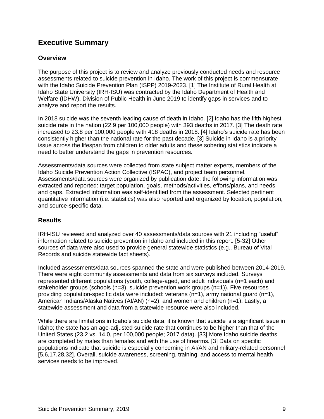# **Executive Summary**

## **Overview**

The purpose of this project is to review and analyze previously conducted needs and resource assessments related to suicide prevention in Idaho. The work of this project is commensurate with the Idaho Suicide Prevention Plan (ISPP) 2019-2023. [1] The Institute of Rural Health at Idaho State University (IRH-ISU) was contracted by the Idaho Department of Health and Welfare (IDHW), Division of Public Health in June 2019 to identify gaps in services and to analyze and report the results.

In 2018 suicide was the seventh leading cause of death in Idaho. [2] Idaho has the fifth highest suicide rate in the nation (22.9 per 100,000 people) with 393 deaths in 2017. [3] The death rate increased to 23.8 per 100,000 people with 418 deaths in 2018. [4] Idaho's suicide rate has been consistently higher than the national rate for the past decade. [3] Suicide in Idaho is a priority issue across the lifespan from children to older adults and these sobering statistics indicate a need to better understand the gaps in prevention resources.

Assessments/data sources were collected from state subject matter experts, members of the Idaho Suicide Prevention Action Collective (ISPAC), and project team personnel. Assessments/data sources were organized by publication date; the following information was extracted and reported: target population, goals, methods/activities, efforts/plans, and needs and gaps. Extracted information was self-identified from the assessment. Selected pertinent quantitative information (i.e. statistics) was also reported and organized by location, population, and source-specific data.

## **Results**

IRH-ISU reviewed and analyzed over 40 assessments/data sources with 21 including "useful" information related to suicide prevention in Idaho and included in this report. [5-32] Other sources of data were also used to provide general statewide statistics (e.g., Bureau of Vital Records and suicide statewide fact sheets).

Included assessments/data sources spanned the state and were published between 2014-2019. There were eight community assessments and data from six surveys included. Surveys represented different populations (youth, college-aged, and adult individuals (n=1 each) and stakeholder groups (schools  $(n=3)$ , suicide prevention work groups  $(n=1)$ ). Five resources providing population-specific data were included: veterans (n=1), army national guard (n=1), American Indians/Alaska Natives (AI/AN) (n=2), and women and children (n=1). Lastly, a statewide assessment and data from a statewide resource were also included.

While there are limitations in Idaho's suicide data, it is known that suicide is a significant issue in Idaho; the state has an age-adjusted suicide rate that continues to be higher than that of the United States (23.2 vs. 14.0, per 100,000 people; 2017 data). [33] More Idaho suicide deaths are completed by males than females and with the use of firearms. [3] Data on specific populations indicate that suicide is especially concerning in AI/AN and military-related personnel [5,6,17,28,32]. Overall, suicide awareness, screening, training, and access to mental health services needs to be improved.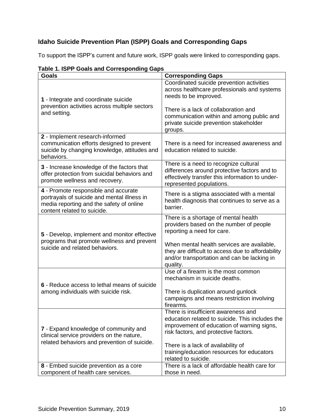# **Idaho Suicide Prevention Plan (ISPP) Goals and Corresponding Gaps**

To support the ISPP's current and future work, ISPP goals were linked to corresponding gaps.

| אוווטוויטס ויטט אווט כווטס ו ויטו זו<br><b>Goals</b>                                                                                                           | <b>Corresponding Gaps</b>                                                                                                                                                                                                                                                                |
|----------------------------------------------------------------------------------------------------------------------------------------------------------------|------------------------------------------------------------------------------------------------------------------------------------------------------------------------------------------------------------------------------------------------------------------------------------------|
| 1 - Integrate and coordinate suicide<br>prevention activities across multiple sectors<br>and setting.                                                          | Coordinated suicide prevention activities<br>across healthcare professionals and systems<br>needs to be improved.<br>There is a lack of collaboration and<br>communication within and among public and<br>private suicide prevention stakeholder                                         |
| 2 - Implement research-informed<br>communication efforts designed to prevent                                                                                   | groups.<br>There is a need for increased awareness and                                                                                                                                                                                                                                   |
| suicide by changing knowledge, attitudes and<br>behaviors.                                                                                                     | education related to suicide.                                                                                                                                                                                                                                                            |
| 3 - Increase knowledge of the factors that<br>offer protection from suicidal behaviors and<br>promote wellness and recovery.                                   | There is a need to recognize cultural<br>differences around protective factors and to<br>effectively transfer this information to under-<br>represented populations.                                                                                                                     |
| 4 - Promote responsible and accurate<br>portrayals of suicide and mental illness in<br>media reporting and the safety of online<br>content related to suicide. | There is a stigma associated with a mental<br>health diagnosis that continues to serve as a<br>barrier.                                                                                                                                                                                  |
| 5 - Develop, implement and monitor effective<br>programs that promote wellness and prevent<br>suicide and related behaviors.                                   | There is a shortage of mental health<br>providers based on the number of people<br>reporting a need for care.<br>When mental health services are available,<br>they are difficult to access due to affordability<br>and/or transportation and can be lacking in                          |
| 6 - Reduce access to lethal means of suicide<br>among individuals with suicide risk.                                                                           | quality.<br>Use of a firearm is the most common<br>mechanism in suicide deaths.<br>There is duplication around gunlock<br>campaigns and means restriction involving<br>firearms.                                                                                                         |
| 7 - Expand knowledge of community and<br>clinical service providers on the nature,<br>related behaviors and prevention of suicide.                             | There is insufficient awareness and<br>education related to suicide. This includes the<br>improvement of education of warning signs,<br>risk factors, and protective factors.<br>There is a lack of availability of<br>training/education resources for educators<br>related to suicide. |
| 8 - Embed suicide prevention as a core<br>component of health care services.                                                                                   | There is a lack of affordable health care for<br>those in need.                                                                                                                                                                                                                          |

## **Table 1. ISPP Goals and Corresponding Gaps**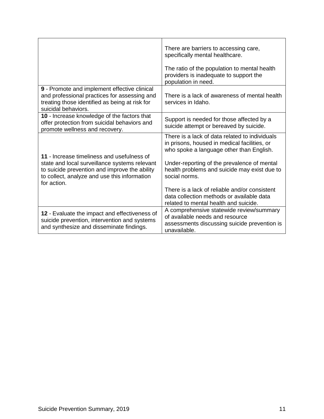|                                                                                                                                                                                                             | There are barriers to accessing care,<br>specifically mental healthcare.<br>The ratio of the population to mental health<br>providers is inadequate to support the<br>population in need.                                                                                                                                                                                                         |
|-------------------------------------------------------------------------------------------------------------------------------------------------------------------------------------------------------------|---------------------------------------------------------------------------------------------------------------------------------------------------------------------------------------------------------------------------------------------------------------------------------------------------------------------------------------------------------------------------------------------------|
| 9 - Promote and implement effective clinical<br>and professional practices for assessing and<br>treating those identified as being at risk for<br>suicidal behaviors.                                       | There is a lack of awareness of mental health<br>services in Idaho.                                                                                                                                                                                                                                                                                                                               |
| 10 - Increase knowledge of the factors that<br>offer protection from suicidal behaviors and<br>promote wellness and recovery.                                                                               | Support is needed for those affected by a<br>suicide attempt or bereaved by suicide.                                                                                                                                                                                                                                                                                                              |
| 11 - Increase timeliness and usefulness of<br>state and local surveillance systems relevant<br>to suicide prevention and improve the ability<br>to collect, analyze and use this information<br>for action. | There is a lack of data related to individuals<br>in prisons, housed in medical facilities, or<br>who spoke a language other than English.<br>Under-reporting of the prevalence of mental<br>health problems and suicide may exist due to<br>social norms.<br>There is a lack of reliable and/or consistent<br>data collection methods or available data<br>related to mental health and suicide. |
| 12 - Evaluate the impact and effectiveness of<br>suicide prevention, intervention and systems<br>and synthesize and disseminate findings.                                                                   | A comprehensive statewide review/summary<br>of available needs and resource<br>assessments discussing suicide prevention is<br>unavailable.                                                                                                                                                                                                                                                       |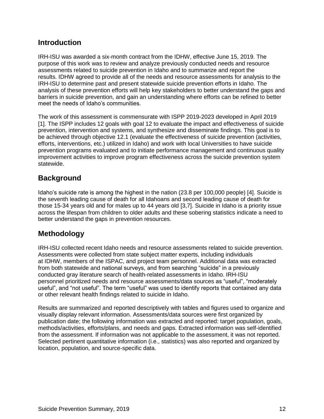## **Introduction**

IRH-ISU was awarded a six-month contract from the IDHW, effective June 15, 2019. The purpose of this work was to review and analyze previously conducted needs and resource assessments related to suicide prevention in Idaho and to summarize and report the results. IDHW agreed to provide all of the needs and resource assessments for analysis to the IRH-ISU to determine past and present statewide suicide prevention efforts in Idaho. The analysis of these prevention efforts will help key stakeholders to better understand the gaps and barriers in suicide prevention, and gain an understanding where efforts can be refined to better meet the needs of Idaho's communities.

The work of this assessment is commensurate with ISPP 2019-2023 developed in April 2019 [1]. The ISPP includes 12 goals with goal 12 to evaluate the impact and effectiveness of suicide prevention, intervention and systems, and synthesize and disseminate findings. This goal is to be achieved through objective 12.1 (evaluate the effectiveness of suicide prevention (activities, efforts, interventions, etc.) utilized in Idaho) and work with local Universities to have suicide prevention programs evaluated and to initiate performance management and continuous quality improvement activities to improve program effectiveness across the suicide prevention system statewide.

# **Background**

Idaho's suicide rate is among the highest in the nation (23.8 per 100,000 people) [4]. Suicide is the seventh leading cause of death for all Idahoans and second leading cause of death for those 15-34 years old and for males up to 44 years old [3,7]. Suicide in Idaho is a priority issue across the lifespan from children to older adults and these sobering statistics indicate a need to better understand the gaps in prevention resources.

# **Methodology**

IRH-ISU collected recent Idaho needs and resource assessments related to suicide prevention. Assessments were collected from state subject matter experts, including individuals at IDHW, members of the ISPAC, and project team personnel. Additional data was extracted from both statewide and national surveys, and from searching "suicide" in a previously conducted gray literature search of health-related assessments in Idaho. IRH-ISU personnel prioritized needs and resource assessments/data sources as "useful", "moderately useful", and "not useful". The term "useful" was used to identify reports that contained any data or other relevant health findings related to suicide in Idaho.

Results are summarized and reported descriptively with tables and figures used to organize and visually display relevant information. Assessments/data sources were first organized by publication date; the following information was extracted and reported: target population, goals, methods/activities, efforts/plans, and needs and gaps. Extracted information was self-identified from the assessment. If information was not applicable to the assessment, it was not reported. Selected pertinent quantitative information (i.e., statistics) was also reported and organized by location, population, and source-specific data.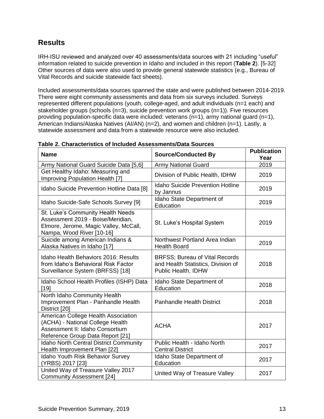# **Results**

IRH-ISU reviewed and analyzed over 40 assessments/data sources with 21 including "useful" information related to suicide prevention in Idaho and included in this report (**Table 2**). [5-32] Other sources of data were also used to provide general statewide statistics (e.g., Bureau of Vital Records and suicide statewide fact sheets).

Included assessments/data sources spanned the state and were published between 2014-2019. There were eight community assessments and data from six surveys included. Surveys represented different populations (youth, college-aged, and adult individuals (n=1 each) and stakeholder groups (schools (n=3), suicide prevention work groups (n=1)). Five resources providing population-specific data were included: veterans (n=1), army national guard (n=1), American Indians/Alaska Natives (AI/AN) (n=2), and women and children (n=1). Lastly, a statewide assessment and data from a statewide resource were also included.

| <b>Name</b>                                                                                                                                    | <b>Source/Conducted By</b>                                                                         | <b>Publication</b><br>Year |
|------------------------------------------------------------------------------------------------------------------------------------------------|----------------------------------------------------------------------------------------------------|----------------------------|
| Army National Guard Suicide Data [5,6]                                                                                                         | <b>Army National Guard</b>                                                                         | 2019                       |
| Get Healthy Idaho: Measuring and<br>Improving Population Health [7]                                                                            | Division of Public Health, IDHW                                                                    | 2019                       |
| Idaho Suicide Prevention Hotline Data [8]                                                                                                      | <b>Idaho Suicide Prevention Hotline</b><br>by Jannus                                               | 2019                       |
| Idaho Suicide-Safe Schools Survey [9]                                                                                                          | Idaho State Department of<br>Education                                                             | 2019                       |
| St. Luke's Community Health Needs<br>Assessment 2019 - Boise/Meridian,<br>Elmore, Jerome, Magic Valley, McCall,<br>Nampa, Wood River [10-16]   | St. Luke's Hospital System                                                                         | 2019                       |
| Suicide among American Indians &<br>Alaska Natives in Idaho [17]                                                                               | Northwest Portland Area Indian<br><b>Health Board</b>                                              | 2019                       |
| Idaho Health Behaviors 2016: Results<br>from Idaho's Behavioral Risk Factor<br>Surveillance System (BRFSS) [18]                                | <b>BRFSS; Bureau of Vital Records</b><br>and Health Statistics, Division of<br>Public Health, IDHW | 2018                       |
| Idaho School Health Profiles (ISHP) Data<br>[19]                                                                                               | Idaho State Department of<br>Education                                                             | 2018                       |
| North Idaho Community Health<br>Improvement Plan - Panhandle Health<br>District [20]                                                           | <b>Panhandle Health District</b>                                                                   | 2018                       |
| American College Health Association<br>(ACHA) - National College Health<br>Assessment II: Idaho Consortium<br>Reference Group Data Report [21] | <b>ACHA</b>                                                                                        | 2017                       |
| <b>Idaho North Central District Community</b><br>Health Improvement Plan [22]                                                                  | Public Health - Idaho North<br><b>Central District</b>                                             | 2017                       |
| Idaho Youth Risk Behavior Survey<br>(YRBS) 2017 [23]                                                                                           | Idaho State Department of<br>Education                                                             | 2017                       |
| United Way of Treasure Valley 2017<br><b>Community Assessment [24]</b>                                                                         | United Way of Treasure Valley                                                                      | 2017                       |

## **Table 2. Characteristics of Included Assessments/Data Sources**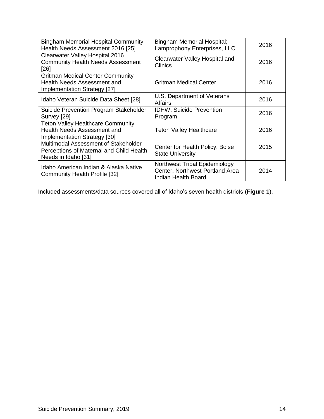| <b>Bingham Memorial Hospital Community</b><br>Health Needs Assessment 2016 [25]                         | <b>Bingham Memorial Hospital;</b><br>Lamprophony Enterprises, LLC                       | 2016 |
|---------------------------------------------------------------------------------------------------------|-----------------------------------------------------------------------------------------|------|
| Clearwater Valley Hospital 2016<br><b>Community Health Needs Assessment</b><br>[26]                     | Clearwater Valley Hospital and<br>Clinics                                               | 2016 |
| <b>Gritman Medical Center Community</b><br>Health Needs Assessment and<br>Implementation Strategy [27]  | <b>Gritman Medical Center</b>                                                           | 2016 |
| Idaho Veteran Suicide Data Sheet [28]                                                                   | U.S. Department of Veterans<br>Affairs                                                  | 2016 |
| Suicide Prevention Program Stakeholder<br>Survey [29]                                                   | <b>IDHW, Suicide Prevention</b><br>Program                                              | 2016 |
| <b>Teton Valley Healthcare Community</b><br>Health Needs Assessment and<br>Implementation Strategy [30] | <b>Teton Valley Healthcare</b>                                                          | 2016 |
| Multimodal Assessment of Stakeholder<br>Perceptions of Maternal and Child Health<br>Needs in Idaho [31] | Center for Health Policy, Boise<br><b>State University</b>                              | 2015 |
| Idaho American Indian & Alaska Native<br>Community Health Profile [32]                                  | Northwest Tribal Epidemiology<br>Center, Northwest Portland Area<br>Indian Health Board | 2014 |

Included assessments/data sources covered all of Idaho's seven health districts (**Figure 1**).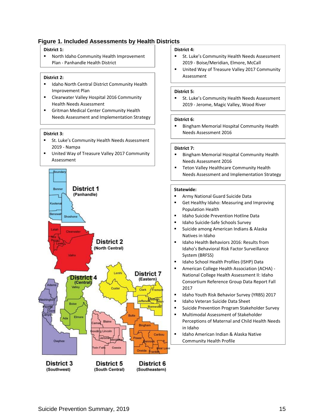#### **Figure 1. Included Assessments by Health Districts**

#### **District 1:**

▪ North Idaho Community Health Improvement Plan - Panhandle Health District

#### **District 2:**

- ▪ Idaho North Central District Community Health Improvement Plan
- Clearwater Valley Hospital 2016 Community Health Needs Assessment
- ▪ Gritman Medical Center Community Health Needs Assessment and Implementation Strategy

#### **District 3:**

- ▪ St. Luke's Community Health Needs Assessment 2019 - Nampa
- United Way of Treasure Valley 2017 Community Assessment



#### **District 4:**

- ▪ St. Luke's Community Health Needs Assessment 2019 - Boise/Meridian, Elmore, McCall
- ▪ United Way of Treasure Valley 2017 Community Assessment

#### **District 5:**

▪ St. Luke's Community Health Needs Assessment 2019 - Jerome, Magic Valley, Wood River

#### **District 6:**

▪ Bingham Memorial Hospital Community Health Needs Assessment 2016

#### **District 7:**

- ▪ Bingham Memorial Hospital Community Health Needs Assessment 2016
- ▪ Teton Valley Healthcare Community Health Needs Assessment and Implementation Strategy

#### **Statewide:**

- ▪Army National Guard Suicide Data
- ▪ Get Healthy Idaho: Measuring and Improving Population Health
- ▪Idaho Suicide Prevention Hotline Data
- ▪Idaho Suicide-Safe Schools Survey
- ▪ Suicide among American Indians & Alaska Natives in Idaho
- ▪ Idaho Health Behaviors 2016: Results from Idaho's Behavioral Risk Factor Surveillance System (BRFSS)
- ▪Idaho School Health Profiles (ISHP) Data
- ▪ American College Health Association (ACHA) - National College Health Assessment II: Idaho Consortium Reference Group Data Report Fall 2017
- ▪Idaho Youth Risk Behavior Survey (YRBS) 2017
- ▪Idaho Veteran Suicide Data Sheet
- ▪Suicide Prevention Program Stakeholder Survey
- ▪ Multimodal Assessment of Stakeholder Perceptions of Maternal and Child Health Needs in Idaho
- ▪ Idaho American Indian & Alaska Native Community Health Profile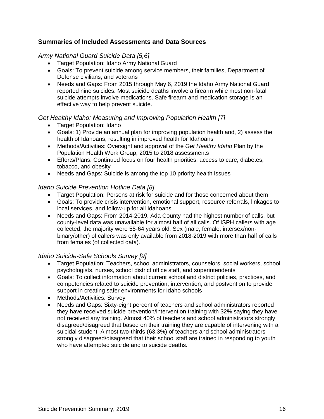## **Summaries of Included Assessments and Data Sources**

#### *Army National Guard Suicide Data [5,6]*

- Target Population: Idaho Army National Guard
- Goals: To prevent suicide among service members, their families, Department of Defense civilians, and veterans
- Needs and Gaps: From 2015 through May 6, 2019 the Idaho Army National Guard reported nine suicides. Most suicide deaths involve a firearm while most non-fatal suicide attempts involve medications. Safe firearm and medication storage is an effective way to help prevent suicide.

## *Get Healthy Idaho: Measuring and Improving Population Health [7]*

- Target Population: Idaho
- Goals: 1) Provide an annual plan for improving population health and, 2) assess the health of Idahoans, resulting in improved health for Idahoans
- Methods/Activities: Oversight and approval of the *Get Healthy Idaho* Plan by the Population Health Work Group; 2015 to 2018 assessments
- Efforts/Plans: Continued focus on four health priorities: access to care, diabetes, tobacco, and obesity
- Needs and Gaps: Suicide is among the top 10 priority health issues

#### *Idaho Suicide Prevention Hotline Data [8]*

- Target Population: Persons at risk for suicide and for those concerned about them
- Goals: To provide crisis intervention, emotional support, resource referrals, linkages to local services, and follow-up for all Idahoans
- Needs and Gaps: From 2014-2019, Ada County had the highest number of calls, but county-level data was unavailable for almost half of all calls. Of ISPH callers with age collected, the majority were 55-64 years old. Sex (male, female, intersex/nonbinary/other) of callers was only available from 2018-2019 with more than half of calls from females (of collected data).

## *Idaho Suicide-Safe Schools Survey [9]*

- Target Population: Teachers, school administrators, counselors, social workers, school psychologists, nurses, school district office staff, and superintendents
- Goals: To collect information about current school and district policies, practices, and competencies related to suicide prevention, intervention, and postvention to provide support in creating safer environments for Idaho schools
- Methods/Activities: Survey
- Needs and Gaps: Sixty-eight percent of teachers and school administrators reported they have received suicide prevention/intervention training with 32% saying they have not received any training. Almost 40% of teachers and school administrators strongly disagreed/disagreed that based on their training they are capable of intervening with a suicidal student. Almost two-thirds (63.3%) of teachers and school administrators strongly disagreed/disagreed that their school staff are trained in responding to youth who have attempted suicide and to suicide deaths.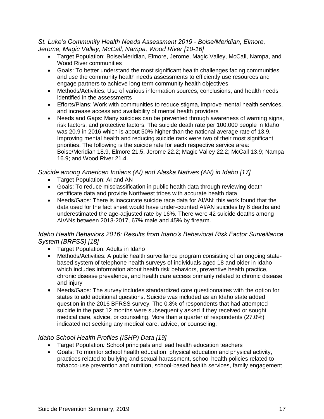#### *St. Luke's Community Health Needs Assessment 2019 - Boise/Meridian, Elmore, Jerome, Magic Valley, McCall, Nampa, Wood River [10-16]*

- Target Population: Boise/Meridian, Elmore, Jerome, Magic Valley, McCall, Nampa, and Wood River communities
- Goals: To better understand the most significant health challenges facing communities and use the community health needs assessments to efficiently use resources and engage partners to achieve long term community health objectives
- Methods/Activities: Use of various information sources, conclusions, and health needs identified in the assessments
- Efforts/Plans: Work with communities to reduce stigma, improve mental health services, and increase access and availability of mental health providers
- Needs and Gaps: Many suicides can be prevented through awareness of warning signs, risk factors, and protective factors. The suicide death rate per 100,000 people in Idaho was 20.9 in 2016 which is about 50% higher than the national average rate of 13.9. Improving mental health and reducing suicide rank were two of their most significant priorities. The following is the suicide rate for each respective service area: Boise/Meridian 18.9, Elmore 21.5, Jerome 22.2; Magic Valley 22.2; McCall 13.9; Nampa 16.9; and Wood River 21.4.

## *Suicide among American Indians (AI) and Alaska Natives (AN) in Idaho [17]*

- Target Population: AI and AN
- Goals: To reduce misclassification in public health data through reviewing death certificate data and provide Northwest tribes with accurate health data
- Needs/Gaps: There is inaccurate suicide race data for AI/AN; this work found that the data used for the fact sheet would have under-counted AI/AN suicides by 6 deaths and underestimated the age-adjusted rate by 16%. There were 42 suicide deaths among AI/ANs between 2013-2017, 67% male and 45% by firearm.

## *Idaho Health Behaviors 2016: Results from Idaho's Behavioral Risk Factor Surveillance System (BRFSS) [18]*

- Target Population: Adults in Idaho
- Methods/Activities: A public health surveillance program consisting of an ongoing statebased system of telephone health surveys of individuals aged 18 and older in Idaho which includes information about health risk behaviors, preventive health practice, chronic disease prevalence, and health care access primarily related to chronic disease and injury
- Needs/Gaps: The survey includes standardized core questionnaires with the option for states to add additional questions. Suicide was included as an Idaho state added question in the 2016 BFRSS survey. The 0.8% of respondents that had attempted suicide in the past 12 months were subsequently asked if they received or sought medical care, advice, or counseling. More than a quarter of respondents (27.0%) indicated not seeking any medical care, advice, or counseling.

## *Idaho School Health Profiles (ISHP) Data [19]*

- Target Population*:* School principals and lead health education teachers
- Goals: To monitor school health education, physical education and physical activity, practices related to bullying and sexual harassment, school health policies related to tobacco-use prevention and nutrition, school-based health services, family engagement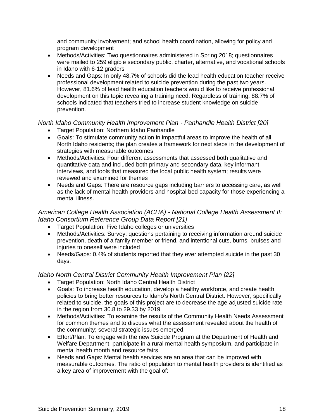and community involvement; and school health coordination, allowing for policy and program development

- Methods/Activities: Two questionnaires administered in Spring 2018; questionnaires were mailed to 259 eligible secondary public, charter, alternative, and vocational schools in Idaho with 6-12 graders
- Needs and Gaps: In only 48.7% of schools did the lead health education teacher receive professional development related to suicide prevention during the past two years. However, 81.6% of lead health education teachers would like to receive professional development on this topic revealing a training need. Regardless of training, 88.7% of schools indicated that teachers tried to increase student knowledge on suicide prevention.

## *North Idaho Community Health Improvement Plan - Panhandle Health District [20]*

- Target Population: Northern Idaho Panhandle
- Goals: To stimulate community action in impactful areas to improve the health of all North Idaho residents; the plan creates a framework for next steps in the development of strategies with measurable outcomes
- Methods/Activities: Four different assessments that assessed both qualitative and quantitative data and included both primary and secondary data, key informant interviews, and tools that measured the local public health system; results were reviewed and examined for themes
- Needs and Gaps: There are resource gaps including barriers to accessing care, as well as the lack of mental health providers and hospital bed capacity for those experiencing a mental illness.

## *American College Health Association (ACHA) - National College Health Assessment II: Idaho Consortium Reference Group Data Report [21]*

- Target Population: Five Idaho colleges or universities
- Methods/Activities: Survey; questions pertaining to receiving information around suicide prevention, death of a family member or friend, and intentional cuts, burns, bruises and injuries to oneself were included
- Needs/Gaps: 0.4% of students reported that they ever attempted suicide in the past 30 days.

## *Idaho North Central District Community Health Improvement Plan [22]*

- Target Population: North Idaho Central Health District
- Goals: To increase health education, develop a healthy workforce, and create health policies to bring better resources to Idaho's North Central District. However, specifically related to suicide, the goals of this project are to decrease the age adjusted suicide rate in the region from 30.8 to 29.33 by 2019
- Methods/Activities: To examine the results of the Community Health Needs Assessment for common themes and to discuss what the assessment revealed about the health of the community; several strategic issues emerged.
- Effort/Plan: To engage with the new Suicide Program at the Department of Health and Welfare Department, participate in a rural mental health symposium, and participate in mental health month and resource fairs
- Needs and Gaps: Mental health services are an area that can be improved with measurable outcomes. The ratio of population to mental health providers is identified as a key area of improvement with the goal of: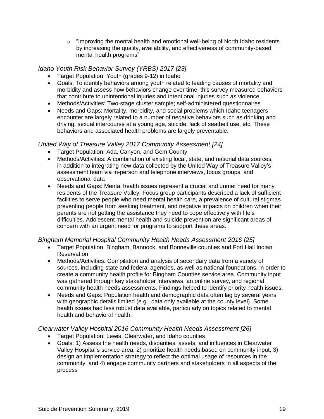$\circ$  "Improving the mental health and emotional well-being of North Idaho residents by increasing the quality, availability, and effectiveness of community-based mental health programs"

#### *Idaho Youth Risk Behavior Survey (YRBS) 2017 [23]*

- Target Population: Youth (grades 9-12) in Idaho
- Goals: To identify behaviors among youth related to leading causes of mortality and morbidity and assess how behaviors change over time; this survey measured behaviors that contribute to unintentional injuries and intentional injuries such as violence
- Methods/Activities: Two-stage cluster sample; self-administered questionnaires
- Needs and Gaps: Mortality, morbidity, and social problems which Idaho teenagers encounter are largely related to a number of negative behaviors such as drinking and driving, sexual intercourse at a young age, suicide, lack of seatbelt use, etc. These behaviors and associated health problems are largely preventable.

#### *United Way of Treasure Valley 2017 Community Assessment [24]*

- Target Population: Ada, Canyon, and Gem County
- Methods/Activities: A combination of existing local, state, and national data sources, in addition to integrating new data collected by the United Way of Treasure Valley's assessment team via in-person and telephone interviews, focus groups, and observational data
- Needs and Gaps: Mental health issues represent a crucial and unmet need for many residents of the Treasure Valley. Focus group participants described a lack of sufficient facilities to serve people who need mental health care, a prevalence of cultural stigmas preventing people from seeking treatment, and negative impacts on children when their parents are not getting the assistance they need to cope effectively with life's difficulties. Adolescent mental health and suicide prevention are significant areas of concern with an urgent need for programs to support these areas.

## *Bingham Memorial Hospital Community Health Needs Assessment 2016 [25]*

- Target Population: Bingham, Bannock, and Bonneville counties and Fort Hall Indian **Reservation**
- Methods/Activities: Compilation and analysis of secondary data from a variety of sources, including state and federal agencies, as well as national foundations, in order to create a community health profile for Bingham Counties service area. Community input was gathered through key stakeholder interviews, an online survey, and regional community health needs assessments. Findings helped to identify priority health issues.
- Needs and Gaps: Population health and demographic data often lag by several years with geographic details limited (e.g., data only available at the county level). Some health issues had less robust data available, particularly on topics related to mental health and behavioral health.

## *Clearwater Valley Hospital 2016 Community Health Needs Assessment [26]*

- Target Population: Lewis, Clearwater, and Idaho counties
- Goals: 1) Assess the health needs, disparities, assets, and influences in Clearwater Valley Hospital's service area, 2) prioritize health needs based on community input, 3) design an implementation strategy to reflect the optimal usage of resources in the community, and 4) engage community partners and stakeholders in all aspects of the process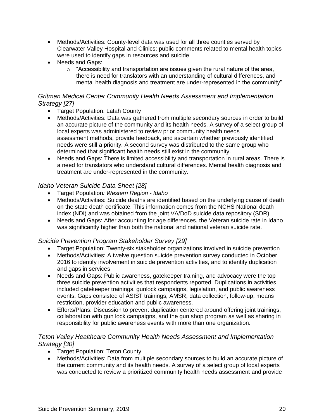- Methods/Activities: County-level data was used for all three counties served by Clearwater Valley Hospital and Clinics; public comments related to mental health topics were used to identify gaps in resources and suicide
- Needs and Gaps:
	- $\circ$  "Accessibility and transportation are issues given the rural nature of the area, there is need for translators with an understanding of cultural differences, and mental health diagnosis and treatment are under-represented in the community"

## *Gritman Medical Center Community Health Needs Assessment and Implementation Strategy [27]*

- Target Population: Latah County
- Methods/Activities: Data was gathered from multiple secondary sources in order to build an accurate picture of the community and its health needs. A survey of a select group of local experts was administered to review prior community health needs assessment methods, provide feedback, and ascertain whether previously identified needs were still a priority. A second survey was distributed to the same group who determined that significant health needs still exist in the community.
- Needs and Gaps: There is limited accessibility and transportation in rural areas. There is a need for translators who understand cultural differences. Mental health diagnosis and treatment are under-represented in the community.

## *Idaho Veteran Suicide Data Sheet [28]*

- Target Population*: Western Region - Idaho*
- Methods/Activities: Suicide deaths are identified based on the underlying cause of death on the state death certificate. This information comes from the NCHS National death index (NDI) and was obtained from the joint VA/DoD suicide data repository (SDR)
- Needs and Gaps: After accounting for age differences, the Veteran suicide rate in Idaho was significantly higher than both the national and national veteran suicide rate.

## *Suicide Prevention Program Stakeholder Survey [29]*

- Target Population: Twenty-six stakeholder organizations involved in suicide prevention
- Methods/Activities: A twelve question suicide prevention survey conducted in October 2016 to identify involvement in suicide prevention activities, and to identify duplication and gaps in services
- Needs and Gaps: Public awareness, gatekeeper training, and advocacy were the top three suicide prevention activities that respondents reported. Duplications in activities included gatekeeper trainings, gunlock campaigns, legislation, and public awareness events. Gaps consisted of ASIST trainings, AMSR, data collection, follow-up, means restriction, provider education and public awareness.
- Efforts/Plans: Discussion to prevent duplication centered around offering joint trainings, collaboration with gun lock campaigns, and the gun shop program as well as sharing in responsibility for public awareness events with more than one organization.

## *Teton Valley Healthcare Community Health Needs Assessment and Implementation Strategy [30]*

- Target Population: Teton County
- Methods/Activities: Data from multiple secondary sources to build an accurate picture of the current community and its health needs. A survey of a select group of local experts was conducted to review a prioritized community health needs assessment and provide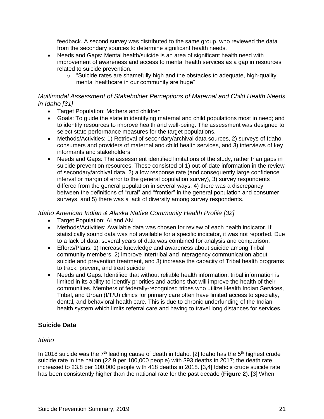feedback. A second survey was distributed to the same group, who reviewed the data from the secondary sources to determine significant health needs.

- Needs and Gaps: Mental health/suicide is an area of significant health need with improvement of awareness and access to mental health services as a gap in resources related to suicide prevention.
	- $\circ$  "Suicide rates are shamefully high and the obstacles to adequate, high-quality mental healthcare in our community are huge"

### *Multimodal Assessment of Stakeholder Perceptions of Maternal and Child Health Needs in Idaho [31]*

- Target Population: Mothers and children
- Goals: To guide the state in identifying maternal and child populations most in need; and to identify resources to improve health and well-being. The assessment was designed to select state performance measures for the target populations.
- Methods/Activities: 1) Retrieval of secondary/archival data sources, 2) surveys of Idaho, consumers and providers of maternal and child health services, and 3) interviews of key informants and stakeholders
- Needs and Gaps: The assessment identified limitations of the study, rather than gaps in suicide prevention resources. These consisted of 1) out-of-date information in the review of secondary/archival data, 2) a low response rate (and consequently large confidence interval or margin of error to the general population survey), 3) survey respondents differed from the general population in several ways, 4) there was a discrepancy between the definitions of "rural" and "frontier" in the general population and consumer surveys, and 5) there was a lack of diversity among survey respondents.

## *Idaho American Indian & Alaska Native Community Health Profile [32]*

- Target Population: AI and AN
- Methods/Activities: Available data was chosen for review of each health indicator. If statistically sound data was not available for a specific indicator, it was not reported. Due to a lack of data, several years of data was combined for analysis and comparison.
- Efforts/Plans: 1) Increase knowledge and awareness about suicide among Tribal community members, 2) improve intertribal and interagency communication about suicide and prevention treatment, and 3) increase the capacity of Tribal health programs to track, prevent, and treat suicide
- Needs and Gaps: Identified that without reliable health information, tribal information is limited in its ability to identify priorities and actions that will improve the health of their communities. Members of federally-recognized tribes who utilize Health Indian Services, Tribal, and Urban (I/T/U) clinics for primary care often have limited access to specialty, dental, and behavioral health care. This is due to chronic underfunding of the Indian health system which limits referral care and having to travel long distances for services.

## **Suicide Data**

## *Idaho*

In 2018 suicide was the  $7<sup>th</sup>$  leading cause of death in Idaho. [2] Idaho has the  $5<sup>th</sup>$  highest crude suicide rate in the nation (22.9 per 100,000 people) with 393 deaths in 2017; the death rate increased to 23.8 per 100,000 people with 418 deaths in 2018. [3,4] Idaho's crude suicide rate has been consistently higher than the national rate for the past decade (**Figure 2**). [3] When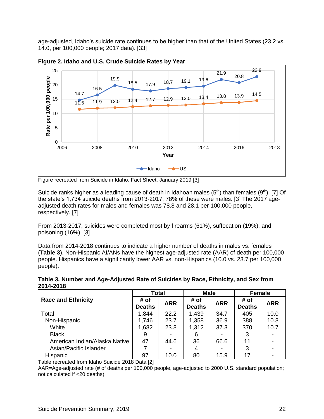age-adjusted, Idaho's suicide rate continues to be higher than that of the United States (23.2 vs. 14.0, per 100,000 people; 2017 data). [33]



**Figure 2. Idaho and U.S. Crude Suicide Rates by Year** 

Suicide ranks higher as a leading cause of death in Idahoan males ( $5<sup>th</sup>$ ) than females ( $9<sup>th</sup>$ ). [7] Of the state's 1,734 suicide deaths from 2013-2017, 78% of these were males. [3] The 2017 ageadjusted death rates for males and females was 78.8 and 28.1 per 100,000 people, respectively. [7]

From 2013-2017, suicides were completed most by firearms (61%), suffocation (19%), and poisoning (16%). [3]

Data from 2014-2018 continues to indicate a higher number of deaths in males vs. females (**Table 3**). Non-Hispanic AI/ANs have the highest age-adjusted rate (AAR) of death per 100,000 people. Hispanics have a significantly lower AAR vs. non-Hispanics (10.0 vs. 23.7 per 100,000 people).

| Table 3. Number and Age-Adjusted Rate of Suicides by Race, Ethnicity, and Sex from |  |
|------------------------------------------------------------------------------------|--|
| 2014-2018                                                                          |  |

|                               | <b>Total</b>          |            | <b>Male</b>           |            | <b>Female</b>         |            |
|-------------------------------|-----------------------|------------|-----------------------|------------|-----------------------|------------|
| <b>Race and Ethnicity</b>     | # of<br><b>Deaths</b> | <b>ARR</b> | # of<br><b>Deaths</b> | <b>ARR</b> | # of<br><b>Deaths</b> | <b>ARR</b> |
| Total                         | 1,844                 | 22.2       | 1,439                 | 34.7       | 405                   | 10.0       |
| Non-Hispanic                  | 1,746                 | 23.7       | 1,358                 | 36.9       | 388                   | 10.8       |
| White                         | 1,682                 | 23.8       | 1,312                 | 37.3       | 370                   | 10.7       |
| <b>Black</b>                  | 9                     |            | 6                     |            | 3                     |            |
| American Indian/Alaska Native | 47                    | 44.6       | 36                    | 66.6       | 11                    |            |
| Asian/Pacific Islander        |                       |            | 4                     | ٠          | 3                     |            |
| Hispanic                      | 97                    | 10.0       | 80                    | 15.9       | 17                    |            |

Table recreated from Idaho Suicide 2018 Data [2]

AAR=Age-adjusted rate (# of deaths per 100,000 people, age-adjusted to 2000 U.S. standard population; not calculated if <20 deaths)

Figure recreated from Suicide in Idaho: Fact Sheet, January 2019 [3]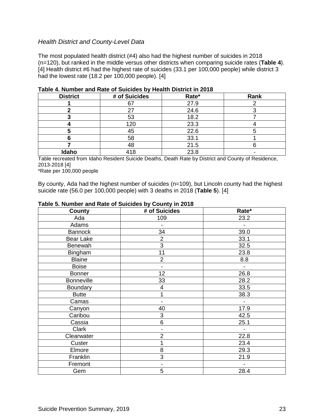#### *Health District and County-Level Data*

The most populated health district (#4) also had the highest number of suicides in 2018 (n=120), but ranked in the middle versus other districts when comparing suicide rates (**Table 4**). [4] Health district #6 had the highest rate of suicides (33.1 per 100,000 people) while district 3 had the lowest rate (18.2 per 100,000 people). [4]

| <b>District</b> | # of Suicides | Rate* | Rank |
|-----------------|---------------|-------|------|
|                 |               | 27.9  |      |
|                 | 27            | 24.6  |      |
|                 | 53            | 18.2  |      |
|                 | 120           | 23.3  |      |
|                 | 45            | 22.6  |      |
|                 | 58            | 33.1  |      |
|                 | 48            | 21.5  |      |
| Idaho           | 418           | 23.8  |      |

#### **Table 4. Number and Rate of Suicides by Health District in 2018**

Table recreated from Idaho Resident Suicide Deaths, Death Rate by District and County of Residence, 2013-2018 [4]

\*Rate per 100,000 people

By county, Ada had the highest number of suicides (n=109), but Lincoln county had the highest suicide rate (56.0 per 100,000 people) with 3 deaths in 2018 (**Table 5**). [4]

| <b>County</b>     | # of Suicides            | Rate*                    |
|-------------------|--------------------------|--------------------------|
| Ada               | 109                      | 23.2                     |
| Adams             |                          |                          |
| <b>Bannock</b>    | 34                       | 39.0                     |
| Bear Lake         | $\overline{2}$           | 33.1                     |
| Benewah           | 3                        | 32.5                     |
| Bingham           | 11                       | 23.8                     |
| <b>Blaine</b>     | $\overline{2}$           | 8.8                      |
| <b>Boise</b>      |                          | $\blacksquare$           |
| <b>Bonner</b>     | 12                       | 26.8                     |
| <b>Bonneville</b> | 33                       | 28.2                     |
| Boundary          | 4                        | 33.5                     |
| <b>Butte</b>      |                          | 38.3                     |
| Camas             | $\overline{\phantom{0}}$ | $\overline{\phantom{a}}$ |
| Canyon            | 40                       | 17.9                     |
| Caribou           | 3                        | 42.5                     |
| Cassia            | 6                        | 25.1                     |
| Clark             |                          | $\overline{\phantom{a}}$ |
| Clearwater        | 2                        | 22.8                     |
| Custer            |                          | 23.4                     |
| Elmore            | 8                        | 29.3                     |
| Franklin          | 3                        | 21.9                     |
| Fremont           |                          |                          |
| Gem               | 5                        | 28.4                     |

#### **Table 5. Number and Rate of Suicides by County in 2018**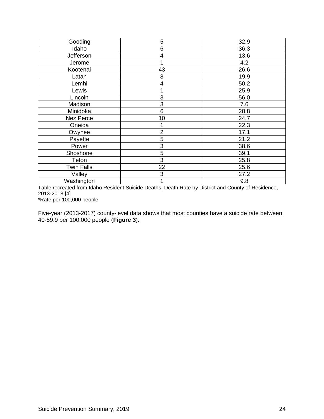| Gooding           | 5              | 32.9 |
|-------------------|----------------|------|
| Idaho             | 6              | 36.3 |
| Jefferson         | 4              | 13.6 |
| Jerome            |                | 4.2  |
| Kootenai          | 43             | 26.6 |
| Latah             | 8              | 19.9 |
| Lemhi             | 4              | 50.2 |
| Lewis             |                | 25.9 |
| Lincoln           | 3              | 56.0 |
| Madison           | 3              | 7.6  |
| Minidoka          | 6              | 28.8 |
| Nez Perce         | 10             | 24.7 |
| Oneida            |                | 22.3 |
| Owyhee            | $\overline{2}$ | 17.1 |
| Payette           | 5              | 21.2 |
| Power             | 3              | 38.6 |
| Shoshone          | 5              | 39.1 |
| Teton             | 3              | 25.8 |
| <b>Twin Falls</b> | 22             | 25.6 |
| Valley            | 3              | 27.2 |
| Washington        | 1              | 9.8  |

Table recreated from Idaho Resident Suicide Deaths, Death Rate by District and County of Residence, 2013-2018 [4] \*Rate per 100,000 people

Five-year (2013-2017) county-level data shows that most counties have a suicide rate between 40-59.9 per 100,000 people (**Figure 3**).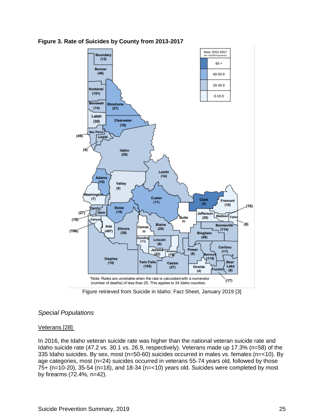

**Figure 3. Rate of Suicides by County from 2013-2017**

Figure retrieved from Suicide in Idaho: Fact Sheet, January 2019 [3]

## *Special Populations*

#### Veterans [28]

In 2016, the Idaho veteran suicide rate was higher than the national veteran suicide rate and Idaho suicide rate (47.2 vs. 30.1 vs. 26.9, respectively). Veterans made up 17.3% (n=58) of the 335 Idaho suicides. By sex, most (n=50-60) suicides occurred in males vs. females (n=<10). By age categories, most (n=24) suicides occurred in veterans 55-74 years old, followed by those 75+ (n=10-20), 35-54 (n=18), and 18-34 (n=<10) years old. Suicides were completed by most by firearms (72.4%, n=42).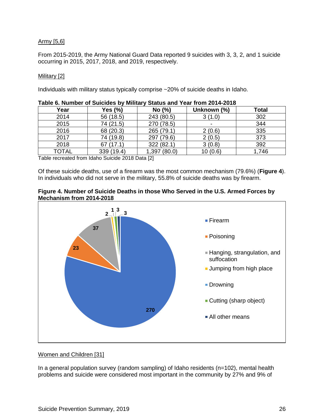#### Army [5,6]

From 2015-2019, the Army National Guard Data reported 9 suicides with 3, 3, 2, and 1 suicide occurring in 2015, 2017, 2018, and 2019, respectively.

#### Military [2]

Individuals with military status typically comprise ~20% of suicide deaths in Idaho.

| Year         | Yes (%)    | No (%)       | Unknown (%)    | <b>Total</b> |
|--------------|------------|--------------|----------------|--------------|
| 2014         | 56 (18.5)  | 243 (80.5)   | 3(1.0)         | 302          |
| 2015         | 74 (21.5)  | 270 (78.5)   | $\blacksquare$ | 344          |
| 2016         | 68 (20.3)  | 265 (79.1)   | 2(0.6)         | 335          |
| 2017         | 74 (19.8)  | 297 (79.6)   | 2(0.5)         | 373          |
| 2018         | 67(17.1)   | 322 (82.1)   | 3(0.8)         | 392          |
| <b>TOTAL</b> | 339 (19.4) | 1,397 (80.0) | 10(0.6)        | 1,746        |

Table recreated from Idaho Suicide 2018 Data [2]

Of these suicide deaths, use of a firearm was the most common mechanism (79.6%) (**Figure 4**). In individuals who did not serve in the military, 55.8% of suicide deaths was by firearm.



#### **Figure 4. Number of Suicide Deaths in those Who Served in the U.S. Armed Forces by Mechanism from 2014-2018**

#### Women and Children [31]

In a general population survey (random sampling) of Idaho residents (n=102), mental health problems and suicide were considered most important in the community by 27% and 9% of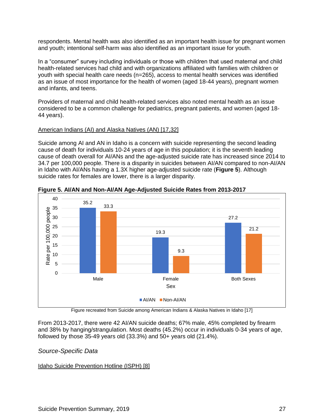respondents. Mental health was also identified as an important health issue for pregnant women and youth; intentional self-harm was also identified as an important issue for youth.

In a "consumer" survey including individuals or those with children that used maternal and child health-related services had child and with organizations affiliated with families with children or youth with special health care needs (n=265), access to mental health services was identified as an issue of most importance for the health of women (aged 18-44 years), pregnant women and infants, and teens.

Providers of maternal and child health-related services also noted mental health as an issue considered to be a common challenge for pediatrics, pregnant patients, and women (aged 18- 44 years).

#### American Indians (AI) and Alaska Natives (AN) [17,32]

Suicide among AI and AN in Idaho is a concern with suicide representing the second leading cause of death for individuals 10-24 years of age in this population; it is the seventh leading cause of death overall for AI/ANs and the age-adjusted suicide rate has increased since 2014 to 34.7 per 100,000 people. There is a disparity in suicides between AI/AN compared to non-AI/AN in Idaho with AI/ANs having a 1.3X higher age-adjusted suicide rate (**Figure 5**). Although suicide rates for females are lower, there is a larger disparity.



**Figure 5. AI/AN and Non-AI/AN Age-Adjusted Suicide Rates from 2013-2017**

Figure recreated from Suicide among American Indians & Alaska Natives in Idaho [17]

From 2013-2017, there were 42 AI/AN suicide deaths; 67% male, 45% completed by firearm and 38% by hanging/strangulation. Most deaths (45.2%) occur in individuals 0-34 years of age, followed by those 35-49 years old (33.3%) and 50+ years old (21.4%).

#### *Source-Specific Data*

#### Idaho Suicide Prevention Hotline (ISPH) [8]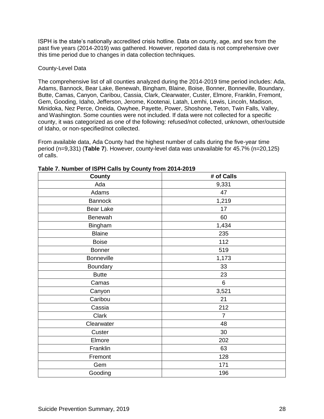ISPH is the state's nationally accredited crisis hotline. Data on county, age, and sex from the past five years (2014-2019) was gathered. However, reported data is not comprehensive over this time period due to changes in data collection techniques.

#### County-Level Data

The comprehensive list of all counties analyzed during the 2014-2019 time period includes: Ada, Adams, Bannock, Bear Lake, Benewah, Bingham, Blaine, Boise, Bonner, Bonneville, Boundary, Butte, Camas, Canyon, Caribou, Cassia, Clark, Clearwater, Custer, Elmore, Franklin, Fremont, Gem, Gooding, Idaho, Jefferson, Jerome, Kootenai, Latah, Lemhi, Lewis, Lincoln, Madison, Minidoka, Nez Perce, Oneida, Owyhee, Payette, Power, Shoshone, Teton, Twin Falls, Valley, and Washington. Some counties were not included. If data were not collected for a specific county, it was categorized as one of the following: refused/not collected, unknown, other/outside of Idaho, or non-specified/not collected.

From available data, Ada County had the highest number of calls during the five-year time period (n=9,331) (**Table 7**). However, county-level data was unavailable for 45.7% (n=20,125) of calls.

| .<br>, , , , , , , , , ,<br>$-$ - ,<br>County | <br># of Calls |
|-----------------------------------------------|----------------|
| Ada                                           | 9,331          |
| Adams                                         | 47             |
| <b>Bannock</b>                                | 1,219          |
| <b>Bear Lake</b>                              | 17             |
| Benewah                                       | 60             |
| Bingham                                       | 1,434          |
| <b>Blaine</b>                                 | 235            |
| <b>Boise</b>                                  | 112            |
| <b>Bonner</b>                                 | 519            |
| <b>Bonneville</b>                             | 1,173          |
| Boundary                                      | 33             |
| <b>Butte</b>                                  | 23             |
| Camas                                         | 6              |
| Canyon                                        | 3,521          |
| Caribou                                       | 21             |
| Cassia                                        | 212            |
| Clark                                         | $\overline{7}$ |
| Clearwater                                    | 48             |
| Custer                                        | 30             |
| Elmore                                        | 202            |
| Franklin                                      | 63             |
| Fremont                                       | 128            |
| Gem                                           | 171            |
| Gooding                                       | 196            |

**Table 7. Number of ISPH Calls by County from 2014-2019**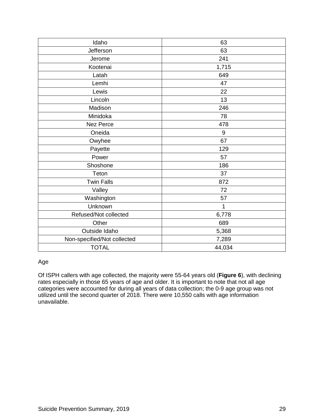| Idaho                       | 63     |
|-----------------------------|--------|
| Jefferson                   | 63     |
| Jerome                      | 241    |
| Kootenai                    | 1,715  |
| Latah                       | 649    |
| Lemhi                       | 47     |
| Lewis                       | 22     |
| Lincoln                     | 13     |
| Madison                     | 246    |
| Minidoka                    | 78     |
| Nez Perce                   | 478    |
| Oneida                      | 9      |
| Owyhee                      | 67     |
| Payette                     | 129    |
| Power                       | 57     |
| Shoshone                    | 186    |
| Teton                       | 37     |
| <b>Twin Falls</b>           | 872    |
| Valley                      | 72     |
| Washington                  | 57     |
| Unknown                     | 1      |
| Refused/Not collected       | 6,778  |
| Other                       | 689    |
| Outside Idaho               | 5,368  |
| Non-specified/Not collected | 7,289  |
| <b>TOTAL</b>                | 44,034 |

#### Age

Of ISPH callers with age collected, the majority were 55-64 years old (**Figure 6**), with declining rates especially in those 65 years of age and older. It is important to note that not all age categories were accounted for during all years of data collection; the 0-9 age group was not utilized until the second quarter of 2018. There were 10,550 calls with age information unavailable.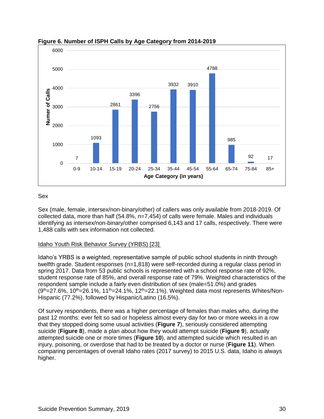

#### **Figure 6. Number of ISPH Calls by Age Category from 2014-2019**

#### Sex

Sex (male, female, intersex/non-binary/other) of callers was only available from 2018-2019. Of collected data, more than half (54.8%, n=7,454) of calls were female. Males and individuals identifying as intersex/non-binary/other comprised 6,143 and 17 calls, respectively. There were 1,488 calls with sex information not collected.

#### Idaho Youth Risk Behavior Survey (YRBS) [23]

Idaho's YRBS is a weighted, representative sample of public school students in ninth through twelfth grade. Student responses (n=1,818) were self-recorded during a regular class period in spring 2017. Data from 53 public schools is represented with a school response rate of 92%, student response rate of 85%, and overall response rate of 79%. Weighted characteristics of the respondent sample include a fairly even distribution of sex (male=51.0%) and grades  $(9<sup>th</sup>=27.6$ %, 10<sup>th</sup>=26.1%, 11<sup>th</sup>=24.1%, 12<sup>th</sup>=22.1%). Weighted data most represents Whites/Non-Hispanic (77.2%), followed by Hispanic/Latino (16.5%).

Of survey respondents, there was a higher percentage of females than males who, during the past 12 months: ever felt so sad or hopeless almost every day for two or more weeks in a row that they stopped doing some usual activities (**Figure 7**), seriously considered attempting suicide (**Figure 8**), made a plan about how they would attempt suicide (**Figure 9**), actually attempted suicide one or more times (**Figure 10**), and attempted suicide which resulted in an injury, poisoning, or overdose that had to be treated by a doctor or nurse (**Figure 11**). When comparing percentages of overall Idaho rates (2017 survey) to 2015 U.S. data, Idaho is always higher.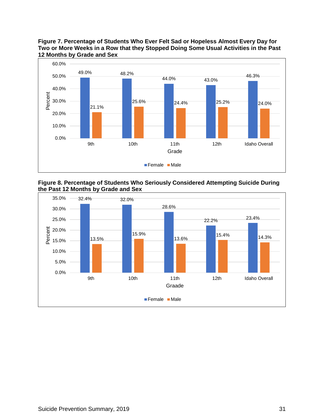

**Figure 7. Percentage of Students Who Ever Felt Sad or Hopeless Almost Every Day for Two or More Weeks in a Row that they Stopped Doing Some Usual Activities in the Past 12 Months by Grade and Sex**

**Figure 8. Percentage of Students Who Seriously Considered Attempting Suicide During the Past 12 Months by Grade and Sex**

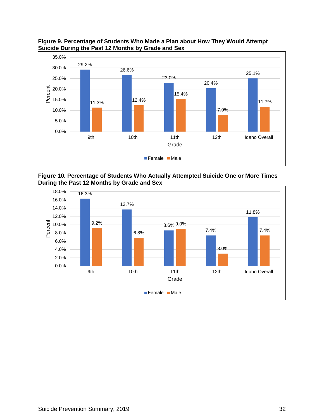

**Figure 9. Percentage of Students Who Made a Plan about How They Would Attempt Suicide During the Past 12 Months by Grade and Sex**

**Figure 10. Percentage of Students Who Actually Attempted Suicide One or More Times During the Past 12 Months by Grade and Sex**

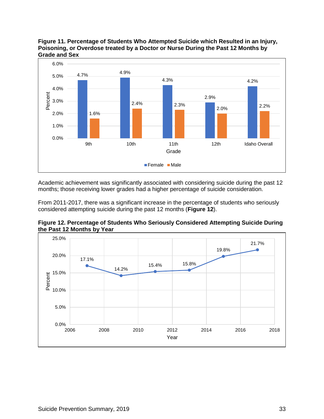

**Figure 11. Percentage of Students Who Attempted Suicide which Resulted in an Injury, Poisoning, or Overdose treated by a Doctor or Nurse During the Past 12 Months by Grade and Sex**

Academic achievement was significantly associated with considering suicide during the past 12 months; those receiving lower grades had a higher percentage of suicide consideration.

From 2011-2017, there was a significant increase in the percentage of students who seriously considered attempting suicide during the past 12 months (**Figure 12**).

**Figure 12. Percentage of Students Who Seriously Considered Attempting Suicide During the Past 12 Months by Year**

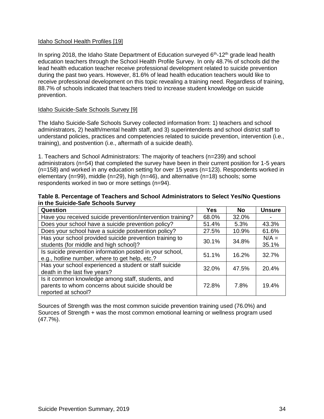#### Idaho School Health Profiles [19]

In spring 2018, the Idaho State Department of Education surveyed  $6<sup>th</sup>$ -12<sup>th</sup> grade lead health education teachers through the School Health Profile Survey. In only 48.7% of schools did the lead health education teacher receive professional development related to suicide prevention during the past two years. However, 81.6% of lead health education teachers would like to receive professional development on this topic revealing a training need. Regardless of training, 88.7% of schools indicated that teachers tried to increase student knowledge on suicide prevention.

#### Idaho Suicide-Safe Schools Survey [9]

The Idaho Suicide-Safe Schools Survey collected information from: 1) teachers and school administrators, 2) health/mental health staff, and 3) superintendents and school district staff to understand policies, practices and competencies related to suicide prevention, intervention (i.e., training), and postvention (i.e., aftermath of a suicide death).

1. Teachers and School Administrators: The majority of teachers (n=239) and school administrators (n=54) that completed the survey have been in their current position for 1-5 years (n=158) and worked in any education setting for over 15 years (n=123). Respondents worked in elementary (n=99), middle (n=29), high (n=46), and alternative (n=18) schools; some respondents worked in two or more settings (n=94).

| Table 8. Percentage of Teachers and School Administrators to Select Yes/No Questions |  |
|--------------------------------------------------------------------------------------|--|
| in the Suicide-Safe Schools Survey                                                   |  |

| Question                                                    | Yes   | <b>No</b> | <b>Unsure</b> |
|-------------------------------------------------------------|-------|-----------|---------------|
| Have you received suicide prevention/intervention training? | 68.0% | 32.0%     |               |
| Does your school have a suicide prevention policy?          | 51.4% | 5.3%      | 43.3%         |
| Does your school have a suicide postvention policy?         | 27.5% | 10.9%     | 61.6%         |
| Has your school provided suicide prevention training to     | 30.1% | 34.8%     | $N/A =$       |
| students (for middle and high school)?                      |       |           | 35.1%         |
| Is suicide prevention information posted in your school,    | 51.1% | 16.2%     | 32.7%         |
| e.g., hotline number, where to get help, etc.?              |       |           |               |
| Has your school experienced a student or staff suicide      | 32.0% | 47.5%     | 20.4%         |
| death in the last five years?                               |       |           |               |
| Is it common knowledge among staff, students, and           |       |           |               |
| parents to whom concerns about suicide should be            | 72.8% | 7.8%      | 19.4%         |
| reported at school?                                         |       |           |               |

Sources of Strength was the most common suicide prevention training used (76.0%) and Sources of Strength + was the most common emotional learning or wellness program used (47.7%).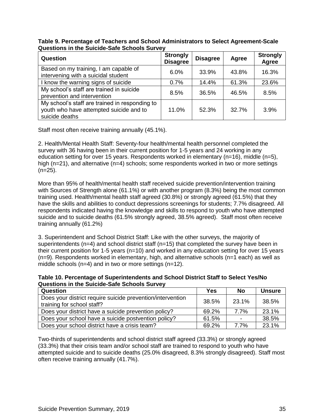| Table 9. Percentage of Teachers and School Administrators to Select Agreement-Scale |  |
|-------------------------------------------------------------------------------------|--|
| <b>Questions in the Suicide-Safe Schools Survey</b>                                 |  |

| Question                                                                                                    | <b>Strongly</b><br><b>Disagree</b> | <b>Disagree</b> | <b>Agree</b> | <b>Strongly</b><br>Agree |
|-------------------------------------------------------------------------------------------------------------|------------------------------------|-----------------|--------------|--------------------------|
| Based on my training, I am capable of<br>intervening with a suicidal student                                | 6.0%                               | 33.9%           | 43.8%        | 16.3%                    |
| I know the warning signs of suicide                                                                         | 0.7%                               | 14.4%           | 61.3%        | 23.6%                    |
| My school's staff are trained in suicide<br>prevention and intervention                                     | 8.5%                               | 36.5%           | 46.5%        | 8.5%                     |
| My school's staff are trained in responding to<br>youth who have attempted suicide and to<br>suicide deaths | 11.0%                              | 52.3%           | 32.7%        | 3.9%                     |

Staff most often receive training annually (45.1%).

2. Health/Mental Health Staff: Seventy-four health/mental health personnel completed the survey with 36 having been in their current position for 1-5 years and 24 working in any education setting for over 15 years. Respondents worked in elementary (n=16), middle (n=5), high (n=21), and alternative (n=4) schools; some respondents worked in two or more settings  $(n=25)$ .

More than 95% of health/mental health staff received suicide prevention/intervention training with Sources of Strength alone (61.1%) or with another program (8.3%) being the most common training used. Health/mental health staff agreed (30.8%) or strongly agreed (61.5%) that they have the skills and abilities to conduct depressions screenings for students; 7.7% disagreed. All respondents indicated having the knowledge and skills to respond to youth who have attempted suicide and to suicide deaths (61.5% strongly agreed, 38.5% agreed). Staff most often receive training annually (61.2%)

3. Superintendent and School District Staff: Like with the other surveys, the majority of superintendents (n=4) and school district staff (n=15) that completed the survey have been in their current position for 1-5 years (n=10) and worked in any education setting for over 15 years (n=9). Respondents worked in elementary, high, and alternative schools (n=1 each) as well as middle schools (n=4) and in two or more settings (n=12).

**Table 10. Percentage of Superintendents and School District Staff to Select Yes/No Questions in the Suicide-Safe Schools Survey** 

| Question                                                                                 | Yes   | <b>No</b> | <b>Unsure</b> |
|------------------------------------------------------------------------------------------|-------|-----------|---------------|
| Does your district require suicide prevention/intervention<br>training for school staff? | 38.5% | 23.1%     | 38.5%         |
| Does your district have a suicide prevention policy?                                     | 69.2% | 7.7%      | 23.1%         |
| Does your school have a suicide postvention policy?                                      | 61.5% |           | 38.5%         |
| Does your school district have a crisis team?                                            | 69.2% | 7.7%      | 23.1%         |

Two-thirds of superintendents and school district staff agreed (33.3%) or strongly agreed (33.3%) that their crisis team and/or school staff are trained to respond to youth who have attempted suicide and to suicide deaths (25.0% disagreed, 8.3% strongly disagreed). Staff most often receive training annually (41.7%).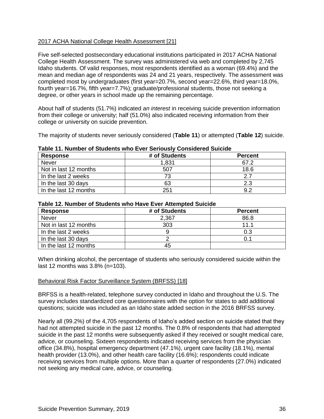#### 2017 ACHA National College Health Assessment [21]

Five self-selected postsecondary educational institutions participated in 2017 ACHA National College Health Assessment. The survey was administered via web and completed by 2,745 Idaho students. Of valid responses, most respondents identified as a woman (69.4%) and the mean and median age of respondents was 24 and 21 years, respectively. The assessment was completed most by undergraduates (first year=20.7%, second year=22.6%, third year=18.0%, fourth year=16.7%, fifth year=7.7%); graduate/professional students, those not seeking a degree, or other years in school made up the remaining percentage.

About half of students (51.7%) indicated *an interest* in receiving suicide prevention information from their college or university; half (51.0%) also indicated receiving information from their college or university on suicide prevention.

The majority of students never seriously considered (**Table 11**) or attempted (**Table 12**) suicide.

| <b>Response</b>       | ישאוטיווי יווי יישומים שנעשטוויט זיווט בזיטו טטווטעטון טטווטועטויט טעוויו<br># of Students | <b>Percent</b> |
|-----------------------|--------------------------------------------------------------------------------------------|----------------|
| <b>Never</b>          | 1,831                                                                                      | 67.2           |
| Not in last 12 months | 507                                                                                        | 18.6           |
| In the last 2 weeks   |                                                                                            |                |
| In the last 30 days   | 63                                                                                         | 2.3            |
| In the last 12 months | 251                                                                                        | 9.2            |

#### **Table 11. Number of Students who Ever Seriously Considered Suicide**

#### **Table 12. Number of Students who Have Ever Attempted Suicide**

| <b>Response</b>       | # of Students | <b>Percent</b> |
|-----------------------|---------------|----------------|
| <b>Never</b>          | 2,367         | 86.8           |
| Not in last 12 months | 303           | 11 1           |
| In the last 2 weeks   |               | 0.3            |
| In the last 30 days   |               |                |
| In the last 12 months | 45            |                |

When drinking alcohol, the percentage of students who seriously considered suicide within the last 12 months was 3.8% (n=103).

#### Behavioral Risk Factor Surveillance System (BRFSS) [18]

BRFSS is a health-related, telephone survey conducted in Idaho and throughout the U.S. The survey includes standardized core questionnaires with the option for states to add additional questions; suicide was included as an Idaho state added section in the 2016 BRFSS survey.

Nearly all (99.2%) of the 4,705 respondents of Idaho's added section on suicide stated that they had not attempted suicide in the past 12 months. The 0.8% of respondents that had attempted suicide in the past 12 months were subsequently asked if they received or sought medical care, advice, or counseling. Sixteen respondents indicated receiving services from the physician office (34.8%), hospital emergency department (47.1%), urgent care facility (18.1%), mental health provider (13.0%), and other health care facility (16.6%); respondents could indicate receiving services from multiple options. More than a quarter of respondents (27.0%) indicated not seeking any medical care, advice, or counseling.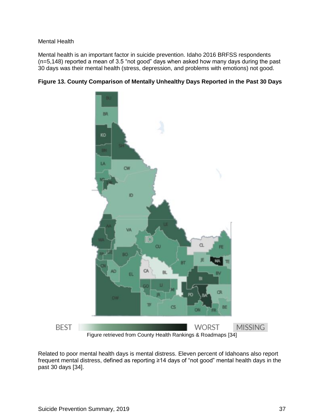#### Mental Health

Mental health is an important factor in suicide prevention. Idaho 2016 BRFSS respondents (n=5,148) reported a mean of 3.5 "not good" days when asked how many days during the past 30 days was their mental health (stress, depression, and problems with emotions) not good.





Related to poor mental health days is mental distress. Eleven percent of Idahoans also report frequent mental distress, defined as reporting ≥14 days of "not good" mental health days in the past 30 days [34].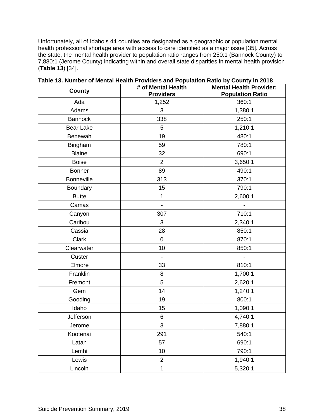Unfortunately, all of Idaho's 44 counties are designated as a geographic or population mental health professional shortage area with access to care identified as a major issue [35]. Across the state, the mental health provider to population ratio ranges from 250:1 (Bannock County) to 7,880:1 (Jerome County) indicating within and overall state disparities in mental health provision (**Table 13**) [34].

| <b>County</b>     | # of Mental Health<br><b>Providers</b> | <b>Mental Health Provider:</b><br><b>Population Ratio</b> |
|-------------------|----------------------------------------|-----------------------------------------------------------|
| Ada               | 1,252                                  | 360:1                                                     |
| Adams             | 3                                      | 1,380:1                                                   |
| <b>Bannock</b>    | 338                                    | 250:1                                                     |
| Bear Lake         | 5                                      | 1,210:1                                                   |
| Benewah           | 19                                     | 480:1                                                     |
| Bingham           | 59                                     | 780:1                                                     |
| <b>Blaine</b>     | 32                                     | 690:1                                                     |
| <b>Boise</b>      | $\overline{2}$                         | 3,650:1                                                   |
| <b>Bonner</b>     | 89                                     | 490:1                                                     |
| <b>Bonneville</b> | 313                                    | 370:1                                                     |
| Boundary          | 15                                     | 790:1                                                     |
| <b>Butte</b>      | 1                                      | 2,600:1                                                   |
| Camas             | $\overline{\phantom{0}}$               |                                                           |
| Canyon            | 307                                    | 710:1                                                     |
| Caribou           | 3                                      | 2,340:1                                                   |
| Cassia            | 28                                     | 850:1                                                     |
| Clark             | $\mathbf 0$                            | 870:1                                                     |
| Clearwater        | 10                                     | 850:1                                                     |
| Custer            | $\overline{\phantom{a}}$               |                                                           |
| Elmore            | 33                                     | 810:1                                                     |
| Franklin          | 8                                      | 1,700:1                                                   |
| Fremont           | 5                                      | 2,620:1                                                   |
| Gem               | 14                                     | 1,240:1                                                   |
| Gooding           | 19                                     | 800:1                                                     |
| Idaho             | 15                                     | 1,090:1                                                   |
| Jefferson         | 6                                      | 4,740:1                                                   |
| Jerome            | $\sqrt{3}$                             | 7,880:1                                                   |
| Kootenai          | 291                                    | 540:1                                                     |
| Latah             | 57                                     | 690:1                                                     |
| Lemhi             | 10                                     | 790:1                                                     |
| Lewis             | $\overline{2}$                         | 1,940:1                                                   |
| Lincoln           | 1                                      | 5,320:1                                                   |

**Table 13. Number of Mental Health Providers and Population Ratio by County in 2018**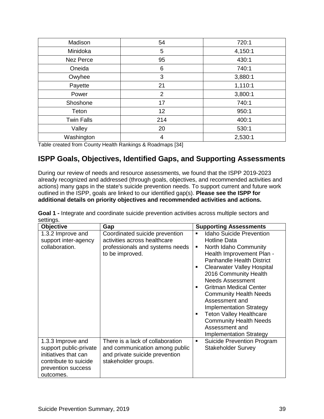| Madison           | 54             | 720:1   |
|-------------------|----------------|---------|
| Minidoka          | 5              | 4,150:1 |
| <b>Nez Perce</b>  | 95             | 430:1   |
| Oneida            | 6              | 740:1   |
| Owyhee            | 3              | 3,880:1 |
| Payette           | 21             | 1,110:1 |
| Power             | $\overline{2}$ | 3,800:1 |
| Shoshone          | 17             | 740:1   |
| Teton             | 12             | 950:1   |
| <b>Twin Falls</b> | 214            | 400:1   |
| Valley            | 20             | 530:1   |
| Washington        | 4              | 2,530:1 |

Table created from County Health Rankings & Roadmaps [34]

# **ISPP Goals, Objectives, Identified Gaps, and Supporting Assessments**

During our review of needs and resource assessments, we found that the ISPP 2019-2023 already recognized and addressed (through goals, objectives, and recommended activities and actions) many gaps in the state's suicide prevention needs. To support current and future work outlined in the ISPP, goals are linked to our identified gap(s). **Please see the ISPP for additional details on priority objectives and recommended activities and actions.**

| <b>Objective</b>                                                                                                                | Gap                                                                                                                         | <b>Supporting Assessments</b>                                                                                                                                                                                                                                                                                                                                                                                                                                                                                                        |
|---------------------------------------------------------------------------------------------------------------------------------|-----------------------------------------------------------------------------------------------------------------------------|--------------------------------------------------------------------------------------------------------------------------------------------------------------------------------------------------------------------------------------------------------------------------------------------------------------------------------------------------------------------------------------------------------------------------------------------------------------------------------------------------------------------------------------|
| 1.3.2 Improve and<br>support inter-agency<br>collaboration.                                                                     | Coordinated suicide prevention<br>activities across healthcare<br>professionals and systems needs<br>to be improved.        | <b>Idaho Suicide Prevention</b><br>$\blacksquare$<br><b>Hotline Data</b><br>North Idaho Community<br>٠<br>Health Improvement Plan -<br><b>Panhandle Health District</b><br><b>Clearwater Valley Hospital</b><br>$\blacksquare$<br>2016 Community Health<br><b>Needs Assessment</b><br><b>Gritman Medical Center</b><br><b>Community Health Needs</b><br>Assessment and<br><b>Implementation Strategy</b><br><b>Teton Valley Healthcare</b><br>٠<br><b>Community Health Needs</b><br>Assessment and<br><b>Implementation Strategy</b> |
| 1.3.3 Improve and<br>support public-private<br>initiatives that can<br>contribute to suicide<br>prevention success<br>outcomes. | There is a lack of collaboration<br>and communication among public<br>and private suicide prevention<br>stakeholder groups. | Suicide Prevention Program<br>٠<br><b>Stakeholder Survey</b>                                                                                                                                                                                                                                                                                                                                                                                                                                                                         |

**Goal 1 -** Integrate and coordinate suicide prevention activities across multiple sectors and settings.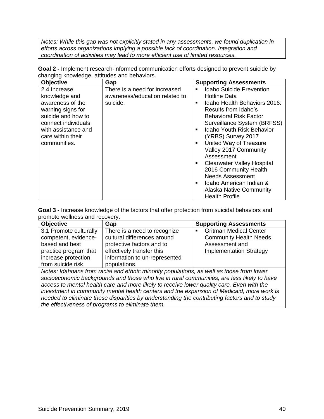*Notes: While this gap was not explicitly stated in any assessments, we found duplication in efforts across organizations implying a possible lack of coordination. Integration and coordination of activities may lead to more efficient use of limited resources.*

| <b>Objective</b>    | Gap                            | <b>Supporting Assessments</b>                     |
|---------------------|--------------------------------|---------------------------------------------------|
| 2.4 Increase        | There is a need for increased  | <b>Idaho Suicide Prevention</b><br>$\blacksquare$ |
| knowledge and       | awareness/education related to | Hotline Data                                      |
| awareness of the    | suicide.                       | Idaho Health Behaviors 2016:<br>$\blacksquare$    |
| warning signs for   |                                | Results from Idaho's                              |
| suicide and how to  |                                | <b>Behavioral Risk Factor</b>                     |
| connect individuals |                                | Surveillance System (BRFSS)                       |
| with assistance and |                                | <b>Idaho Youth Risk Behavior</b>                  |
| care within their   |                                | (YRBS) Survey 2017                                |
| communities.        |                                | United Way of Treasure                            |
|                     |                                | Valley 2017 Community                             |
|                     |                                | Assessment                                        |
|                     |                                | <b>Clearwater Valley Hospital</b>                 |
|                     |                                | 2016 Community Health                             |
|                     |                                | <b>Needs Assessment</b>                           |
|                     |                                | Idaho American Indian &                           |
|                     |                                | Alaska Native Community                           |
|                     |                                | <b>Health Profile</b>                             |

**Goal 2 -** Implement research-informed communication efforts designed to prevent suicide by changing knowledge, attitudes and behaviors.

**Goal 3 -** Increase knowledge of the factors that offer protection from suicidal behaviors and promote wellness and recovery.

| <b>Objective</b>                                                                            | Gap                           | <b>Supporting Assessments</b>                   |  |  |
|---------------------------------------------------------------------------------------------|-------------------------------|-------------------------------------------------|--|--|
| 3.1 Promote culturally                                                                      | There is a need to recognize  | <b>Gritman Medical Center</b><br>$\blacksquare$ |  |  |
| competent, evidence-                                                                        | cultural differences around   | <b>Community Health Needs</b>                   |  |  |
| based and best                                                                              | protective factors and to     | Assessment and                                  |  |  |
| practice program that                                                                       | effectively transfer this     | <b>Implementation Strategy</b>                  |  |  |
| increase protection                                                                         | information to un-represented |                                                 |  |  |
| from suicide risk.                                                                          | populations.                  |                                                 |  |  |
| Aleter distribution from model and attached with a constational conselling these from terms |                               |                                                 |  |  |

*Notes: Idahoans from racial and ethnic minority populations, as well as those from lower socioeconomic backgrounds and those who live in rural communities, are less likely to have access to mental health care and more likely to receive lower quality care. Even with the investment in community mental health centers and the expansion of Medicaid, more work is needed to eliminate these disparities by understanding the contributing factors and to study the effectiveness of programs to eliminate them.*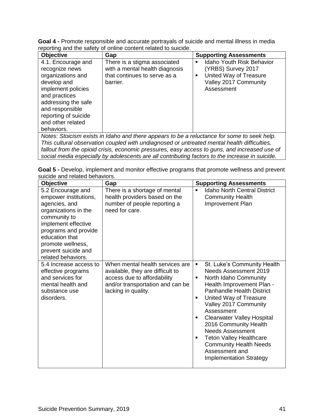| Goal 4 - Promote responsible and accurate portrayals of suicide and mental illness in media |
|---------------------------------------------------------------------------------------------|
| reporting and the safety of online content related to suicide.                              |

| <b>Objective</b>                                                                                                                                                                                                     | Gap                                                                                                                                                                                        | <b>Supporting Assessments</b>                                                                                                                  |  |  |
|----------------------------------------------------------------------------------------------------------------------------------------------------------------------------------------------------------------------|--------------------------------------------------------------------------------------------------------------------------------------------------------------------------------------------|------------------------------------------------------------------------------------------------------------------------------------------------|--|--|
| 4.1. Encourage and<br>recognize news<br>organizations and<br>develop and<br>implement policies<br>and practices<br>addressing the safe<br>and responsible<br>reporting of suicide<br>and other related<br>behaviors. | There is a stigma associated<br>with a mental health diagnosis<br>that continues to serve as a<br>barrier.                                                                                 | <b>Idaho Youth Risk Behavior</b><br>$\blacksquare$<br>(YRBS) Survey 2017<br>United Way of Treasure<br>٠<br>Valley 2017 Community<br>Assessment |  |  |
|                                                                                                                                                                                                                      | Notes: Stoicism exists in Idaho and there appears to be a reluctance for some to seek help.<br>This cultural observation coupled with undiagnosed or untreated mental health difficulties, |                                                                                                                                                |  |  |
| tallout from the opioid crisis, economic pressures, easy access to quins, and increased use of                                                                                                                       |                                                                                                                                                                                            |                                                                                                                                                |  |  |

fallout from the opioid crisis, economic pressures, easy access to guns, and increased use of *social media especially by adolescents are all contributing factors to the increase in suicide.*

| Goal 5 - Develop, implement and monitor effective programs that promote wellness and prevent |  |  |  |
|----------------------------------------------------------------------------------------------|--|--|--|
| suicide and related behaviors.                                                               |  |  |  |

| <b>Objective</b>                                                                                                                                                                                                                       | Gap                                                                                                                                                           | <b>Supporting Assessments</b>                                                                                                                                                                                                                                                                                                                                                                                                                                                |
|----------------------------------------------------------------------------------------------------------------------------------------------------------------------------------------------------------------------------------------|---------------------------------------------------------------------------------------------------------------------------------------------------------------|------------------------------------------------------------------------------------------------------------------------------------------------------------------------------------------------------------------------------------------------------------------------------------------------------------------------------------------------------------------------------------------------------------------------------------------------------------------------------|
| 5.2 Encourage and<br>empower institutions,<br>agencies, and<br>organizations in the<br>community to<br>implement effective<br>programs and provide<br>education that<br>promote wellness,<br>prevent suicide and<br>related behaviors. | There is a shortage of mental<br>health providers based on the<br>number of people reporting a<br>need for care.                                              | <b>Idaho North Central District</b><br>$\blacksquare$<br><b>Community Health</b><br>Improvement Plan                                                                                                                                                                                                                                                                                                                                                                         |
| 5.4 Increase access to<br>effective programs<br>and services for<br>mental health and<br>substance use<br>disorders.                                                                                                                   | When mental health services are<br>available, they are difficult to<br>access due to affordability<br>and/or transportation and can be<br>lacking in quality. | St. Luke's Community Health<br>٠<br><b>Needs Assessment 2019</b><br>North Idaho Community<br>٠<br>Health Improvement Plan -<br><b>Panhandle Health District</b><br>United Way of Treasure<br>$\blacksquare$<br>Valley 2017 Community<br>Assessment<br><b>Clearwater Valley Hospital</b><br>٠<br>2016 Community Health<br><b>Needs Assessment</b><br><b>Teton Valley Healthcare</b><br>٠<br><b>Community Health Needs</b><br>Assessment and<br><b>Implementation Strategy</b> |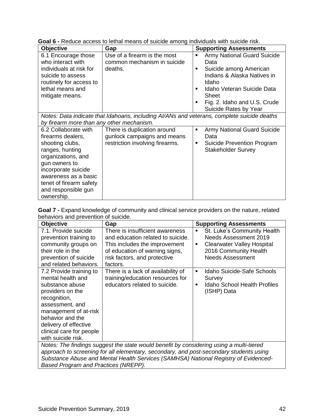| <b>Objective</b>                                                                           | Gap                             |   | <b>Supporting Assessments</b>      |
|--------------------------------------------------------------------------------------------|---------------------------------|---|------------------------------------|
| 6.1 Encourage those                                                                        | Use of a firearm is the most    | п | <b>Army National Guard Suicide</b> |
| who interact with                                                                          | common mechanism in suicide     |   | Data                               |
| individuals at risk for                                                                    | deaths.                         | п | Suicide among American             |
| suicide to assess                                                                          |                                 |   | Indians & Alaska Natives in        |
| routinely for access to                                                                    |                                 |   | Idaho                              |
| lethal means and                                                                           |                                 |   | Idaho Veteran Suicide Data         |
| mitigate means.                                                                            |                                 |   | <b>Sheet</b>                       |
|                                                                                            |                                 | ٠ | Fig. 2. Idaho and U.S. Crude       |
|                                                                                            |                                 |   | Suicide Rates by Year              |
| Notes: Data indicate that Idahoans, including AI/ANs and veterans, complete suicide deaths |                                 |   |                                    |
| by firearm more than any other mechanism.                                                  |                                 |   |                                    |
| 6.2 Collaborate with                                                                       | There is duplication around     | ٠ | <b>Army National Guard Suicide</b> |
| firearms dealers,                                                                          | gunlock campaigns and means     |   | Data                               |
| shooting clubs,                                                                            | restriction involving firearms. | п | Suicide Prevention Program         |
| ranges, hunting                                                                            |                                 |   | <b>Stakeholder Survey</b>          |
| organizations, and                                                                         |                                 |   |                                    |
| gun owners to                                                                              |                                 |   |                                    |
| incorporate suicide                                                                        |                                 |   |                                    |
| awareness as a basic                                                                       |                                 |   |                                    |
| tenet of firearm safety                                                                    |                                 |   |                                    |
| and responsible gun                                                                        |                                 |   |                                    |
| ownership.                                                                                 |                                 |   |                                    |

**Goal 6 -** Reduce access to lethal means of suicide among individuals with suicide risk.

**Goal 7 -** Expand knowledge of community and clinical service providers on the nature, related behaviors and prevention of suicide.

| <b>Objective</b>                                                                                                                                                                                                                               | Gap                                                                                                                                                                                                       | <b>Supporting Assessments</b>                                                                                                                           |
|------------------------------------------------------------------------------------------------------------------------------------------------------------------------------------------------------------------------------------------------|-----------------------------------------------------------------------------------------------------------------------------------------------------------------------------------------------------------|---------------------------------------------------------------------------------------------------------------------------------------------------------|
| 7.1. Provide suicide<br>prevention training to<br>community groups on<br>their role in the<br>prevention of suicide<br>and related behaviors.                                                                                                  | There is insufficient awareness<br>and education related to suicide.<br>This includes the improvement<br>of education of warning signs,<br>risk factors, and protective<br>factors.                       | St. Luke's Community Health<br>٠<br>Needs Assessment 2019<br><b>Clearwater Valley Hospital</b><br>٠<br>2016 Community Health<br><b>Needs Assessment</b> |
| 7.2 Provide training to<br>mental health and<br>substance abuse<br>providers on the<br>recognition,<br>assessment, and<br>management of at-risk<br>behavior and the<br>delivery of effective<br>clinical care for people<br>with suicide risk. | There is a lack of availability of<br>training/education resources for<br>educators related to suicide.<br>$Motoc \cdot Tho$ findings suggest the state would benefit by considering using a multi-tiered | Idaho Suicide-Safe Schools<br>٠<br>Survey<br><b>Idaho School Health Profiles</b><br>٠<br>(ISHP) Data                                                    |

*Notes: The findings suggest the state would benefit by considering using a multi-tiered approach to screening for all elementary, secondary, and post-secondary students using Substance Abuse and Mental Health Services (SAMHSA) National Registry of Evidenced-Based Program and Practices (NREPP).*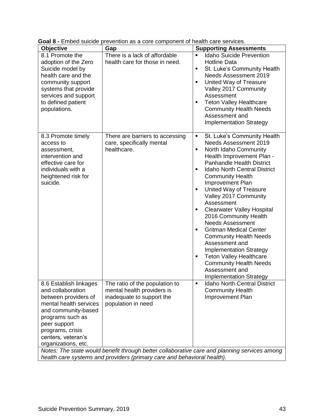| - 111000 0010100<br><b>Objective</b>                                                                                                                                                                                      | provention de a coro component or<br>Gap                                                                        | <b>Supporting Assessments</b>                                                                                                                                                                                                                                                                                                                                                                                                                                                                                                                                                                                                                                                                      |  |
|---------------------------------------------------------------------------------------------------------------------------------------------------------------------------------------------------------------------------|-----------------------------------------------------------------------------------------------------------------|----------------------------------------------------------------------------------------------------------------------------------------------------------------------------------------------------------------------------------------------------------------------------------------------------------------------------------------------------------------------------------------------------------------------------------------------------------------------------------------------------------------------------------------------------------------------------------------------------------------------------------------------------------------------------------------------------|--|
| 8.1 Promote the<br>adoption of the Zero<br>Suicide model by<br>health care and the<br>community support<br>systems that provide<br>services and support<br>to defined patient<br>populations.                             | There is a lack of affordable<br>health care for those in need.                                                 | <b>Idaho Suicide Prevention</b><br>$\blacksquare$<br>Hotline Data<br>St. Luke's Community Health<br>٠<br><b>Needs Assessment 2019</b><br>United Way of Treasure<br>٠<br>Valley 2017 Community<br>Assessment<br><b>Teton Valley Healthcare</b><br>٠<br><b>Community Health Needs</b><br>Assessment and<br><b>Implementation Strategy</b>                                                                                                                                                                                                                                                                                                                                                            |  |
| 8.3 Promote timely<br>access to<br>assessment,<br>intervention and<br>effective care for<br>individuals with a<br>heightened risk for<br>suicide.                                                                         | There are barriers to accessing<br>care, specifically mental<br>healthcare.                                     | St. Luke's Community Health<br>٠<br><b>Needs Assessment 2019</b><br>North Idaho Community<br>$\blacksquare$<br>Health Improvement Plan -<br><b>Panhandle Health District</b><br><b>Idaho North Central District</b><br>٠<br><b>Community Health</b><br>Improvement Plan<br>United Way of Treasure<br>٠<br>Valley 2017 Community<br>Assessment<br><b>Clearwater Valley Hospital</b><br>٠<br>2016 Community Health<br><b>Needs Assessment</b><br><b>Gritman Medical Center</b><br>٠<br><b>Community Health Needs</b><br>Assessment and<br><b>Implementation Strategy</b><br><b>Teton Valley Healthcare</b><br>٠<br><b>Community Health Needs</b><br>Assessment and<br><b>Implementation Strategy</b> |  |
| 8.6 Establish linkages<br>and collaboration<br>between providers of<br>mental health services<br>and community-based<br>programs such as<br>peer support<br>programs, crisis<br>centers, veteran's<br>organizations, etc. | The ratio of the population to<br>mental health providers is<br>inadequate to support the<br>population in need | <b>Idaho North Central District</b><br>٠<br><b>Community Health</b><br>Improvement Plan<br>Notes: The state would benefit through better collaborative care and planning services among                                                                                                                                                                                                                                                                                                                                                                                                                                                                                                            |  |
| health care systems and providers (primary care and behavioral health).                                                                                                                                                   |                                                                                                                 |                                                                                                                                                                                                                                                                                                                                                                                                                                                                                                                                                                                                                                                                                                    |  |

**Goal 8 -** Embed suicide prevention as a core component of health care services.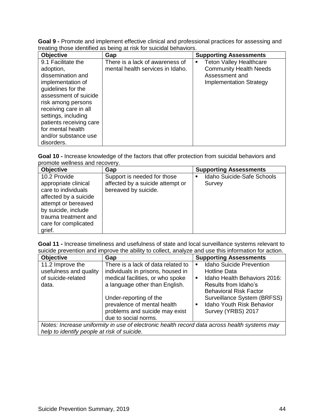**Goal 9 -** Promote and implement effective clinical and professional practices for assessing and treating those identified as being at risk for suicidal behaviors.

| <b>Objective</b>                                                                                                                                                                                                                                                                     | Gap                                                                 | <b>Supporting Assessments</b>                                                                                       |
|--------------------------------------------------------------------------------------------------------------------------------------------------------------------------------------------------------------------------------------------------------------------------------------|---------------------------------------------------------------------|---------------------------------------------------------------------------------------------------------------------|
| 9.1 Facilitate the<br>adoption,<br>dissemination and<br>implementation of<br>guidelines for the<br>assessment of suicide<br>risk among persons<br>receiving care in all<br>settings, including<br>patients receiving care<br>for mental health<br>and/or substance use<br>disorders. | There is a lack of awareness of<br>mental health services in Idaho. | <b>Teton Valley Healthcare</b><br><b>Community Health Needs</b><br>Assessment and<br><b>Implementation Strategy</b> |

**Goal 10 -** Increase knowledge of the factors that offer protection from suicidal behaviors and promote wellness and recovery.

| <b>Objective</b>                                                                                                                                                                             | Gap                                                                                     | <b>Supporting Assessments</b>                          |
|----------------------------------------------------------------------------------------------------------------------------------------------------------------------------------------------|-----------------------------------------------------------------------------------------|--------------------------------------------------------|
| 10.2 Provide<br>appropriate clinical<br>care to individuals<br>affected by a suicide<br>attempt or bereaved<br>by suicide, include<br>trauma treatment and<br>care for complicated<br>grief. | Support is needed for those<br>affected by a suicide attempt or<br>bereaved by suicide. | Idaho Suicide-Safe Schools<br>$\blacksquare$<br>Survey |

**Goal 11 -** Increase timeliness and usefulness of state and local surveillance systems relevant to suicide prevention and improve the ability to collect, analyze and use this information for action.

| <b>Objective</b>                                                                                                                            | Gap                                                                                                                                           | <b>Supporting Assessments</b>                                                                                                                                                       |  |
|---------------------------------------------------------------------------------------------------------------------------------------------|-----------------------------------------------------------------------------------------------------------------------------------------------|-------------------------------------------------------------------------------------------------------------------------------------------------------------------------------------|--|
| 11.2 Improve the<br>usefulness and quality<br>of suicide-related<br>data.                                                                   | There is a lack of data related to<br>individuals in prisons, housed in<br>medical facilities, or who spoke<br>a language other than English. | <b>Idaho Suicide Prevention</b><br>$\blacksquare$<br><b>Hotline Data</b><br>Idaho Health Behaviors 2016:<br>$\blacksquare$<br>Results from Idaho's<br><b>Behavioral Risk Factor</b> |  |
|                                                                                                                                             | Under-reporting of the<br>prevalence of mental health<br>problems and suicide may exist<br>due to social norms.                               | Surveillance System (BRFSS)<br>Idaho Youth Risk Behavior<br>$\blacksquare$<br>Survey (YRBS) 2017                                                                                    |  |
| Notes: Increase uniformity in use of electronic health record data across health systems may<br>help to identify people at risk of suicide. |                                                                                                                                               |                                                                                                                                                                                     |  |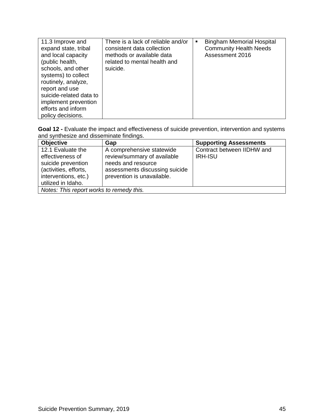| 11.3 Improve and<br>expand state, tribal<br>and local capacity<br>(public health,<br>schools, and other<br>systems) to collect<br>routinely, analyze,<br>report and use<br>suicide-related data to | There is a lack of reliable and/or<br>consistent data collection<br>methods or available data<br>related to mental health and<br>suicide. | $\blacksquare$ | <b>Bingham Memorial Hospital</b><br><b>Community Health Needs</b><br>Assessment 2016 |
|----------------------------------------------------------------------------------------------------------------------------------------------------------------------------------------------------|-------------------------------------------------------------------------------------------------------------------------------------------|----------------|--------------------------------------------------------------------------------------|
| implement prevention                                                                                                                                                                               |                                                                                                                                           |                |                                                                                      |
| efforts and inform                                                                                                                                                                                 |                                                                                                                                           |                |                                                                                      |
| policy decisions.                                                                                                                                                                                  |                                                                                                                                           |                |                                                                                      |

**Goal 12 -** Evaluate the impact and effectiveness of suicide prevention, intervention and systems and synthesize and disseminate findings.

| <b>Objective</b>                                                                                                                   | Gap                                                                                                                                            | <b>Supporting Assessments</b>                |  |
|------------------------------------------------------------------------------------------------------------------------------------|------------------------------------------------------------------------------------------------------------------------------------------------|----------------------------------------------|--|
| 12.1 Evaluate the<br>effectiveness of<br>suicide prevention<br>(activities, efforts,<br>interventions, etc.)<br>utilized in Idaho. | A comprehensive statewide<br>review/summary of available<br>needs and resource<br>assessments discussing suicide<br>prevention is unavailable. | Contract between IIDHW and<br><b>IRH-ISU</b> |  |
| Notes: This report works to remedy this.                                                                                           |                                                                                                                                                |                                              |  |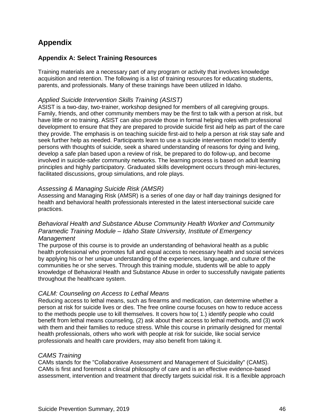# **Appendix**

## **Appendix A: Select Training Resources**

Training materials are a necessary part of any program or activity that involves knowledge acquisition and retention. The following is a list of training resources for educating students, parents, and professionals. Many of these trainings have been utilized in Idaho.

#### *Applied Suicide Intervention Skills Training (ASIST)*

ASIST is a two-day, two-trainer, workshop designed for members of all caregiving groups. Family, friends, and other community members may be the first to talk with a person at risk, but have little or no training. ASIST can also provide those in formal helping roles with professional development to ensure that they are prepared to provide suicide first aid help as part of the care they provide. The emphasis is on teaching suicide first-aid to help a person at risk stay safe and seek further help as needed. Participants learn to use a suicide intervention model to identify persons with thoughts of suicide, seek a shared understanding of reasons for dying and living, develop a safe plan based upon a review of risk, be prepared to do follow-up, and become involved in suicide-safer community networks. The learning process is based on adult learning principles and highly participatory. Graduated skills development occurs through mini-lectures, facilitated discussions, group simulations, and role plays.

#### *Assessing & Managing Suicide Risk (AMSR)*

Assessing and Managing Risk (AMSR) is a series of one day or half day trainings designed for health and behavioral health professionals interested in the latest intersectional suicide care practices.

#### *Behavioral Health and Substance Abuse Community Health Worker and Community Paramedic Training Module – Idaho State University, Institute of Emergency Management*

The purpose of this course is to provide an understanding of behavioral health as a public health professional who promotes full and equal access to necessary health and social services by applying his or her unique understanding of the experiences, language, and culture of the communities he or she serves. Through this training module, students will be able to apply knowledge of Behavioral Health and Substance Abuse in order to successfully navigate patients throughout the healthcare system.

#### *CALM: Counseling on Access to Lethal Means*

Reducing access to lethal means, such as firearms and medication, can determine whether a person at risk for suicide lives or dies. The free online course focuses on how to reduce access to the methods people use to kill themselves. It covers how to( 1.) identify people who could benefit from lethal means counseling, (2) ask about their access to lethal methods, and (3) work with them and their families to reduce stress. While this course in primarily designed for mental health professionals, others who work with people at risk for suicide, like social service professionals and health care providers, may also benefit from taking it.

## *CAMS Training*

CAMs stands for the "Collaborative Assessment and Management of Suicidality" (CAMS). CAMs is first and foremost a clinical philosophy of care and is an effective evidence-based assessment, intervention and treatment that directly targets suicidal risk. It is a flexible approach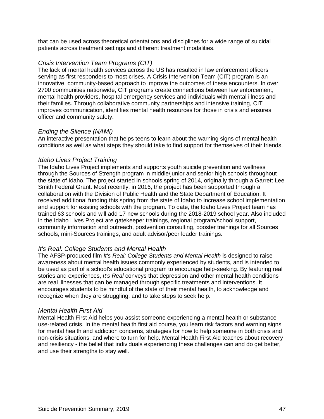that can be used across theoretical orientations and disciplines for a wide range of suicidal patients across treatment settings and different treatment modalities.

#### *Crisis Intervention Team Programs (CIT)*

The lack of mental health services across the US has resulted in law enforcement officers serving as first responders to most crises. A Crisis Intervention Team (CIT) program is an innovative, community-based approach to improve the outcomes of these encounters. In over 2700 communities nationwide, CIT programs create connections between law enforcement, mental health providers, hospital emergency services and individuals with mental illness and their families. Through collaborative community partnerships and intensive training, CIT improves communication, identifies mental health resources for those in crisis and ensures officer and community safety.

#### *Ending the Silence (NAMI)*

An interactive presentation that helps teens to learn about the warning signs of mental health conditions as well as what steps they should take to find support for themselves of their friends.

#### *Idaho Lives Project Training*

The Idaho Lives Project implements and supports youth suicide prevention and wellness through the Sources of Strength program in middle/junior and senior high schools throughout the state of Idaho. The project started in schools spring of 2014, originally through a Garrett Lee Smith Federal Grant. Most recently, in 2016, the project has been supported through a collaboration with the Division of Public Health and the State Department of Education. It received additional funding this spring from the state of Idaho to increase school implementation and support for existing schools with the program. To date, the Idaho Lives Project team has trained 63 schools and will add 17 new schools during the 2018-2019 school year. Also included in the Idaho Lives Project are gatekeeper trainings, regional program/school support, community information and outreach, postvention consulting, booster trainings for all Sources schools, mini-Sources trainings, and adult advisor/peer leader trainings.

#### *It's Real: College Students and Mental Health*

The AFSP-produced film *It's Real: College Students and Mental Health* is designed to raise awareness about mental health issues commonly experienced by students, and is intended to be used as part of a school's educational program to encourage help-seeking. By featuring real stories and experiences, *It's Real* conveys that depression and other mental health conditions are real illnesses that can be managed through specific treatments and interventions. It encourages students to be mindful of the state of their mental health, to acknowledge and recognize when they are struggling, and to take steps to seek help.

#### *Mental Health First Aid*

Mental Health First Aid helps you assist someone experiencing a mental health or substance use-related crisis. In the mental health first aid course, you learn risk factors and warning signs for mental health and addiction concerns, strategies for how to help someone in both crisis and non-crisis situations, and where to turn for help. Mental Health First Aid teaches about recovery and resiliency - the belief that individuals experiencing these challenges can and do get better, and use their strengths to stay well.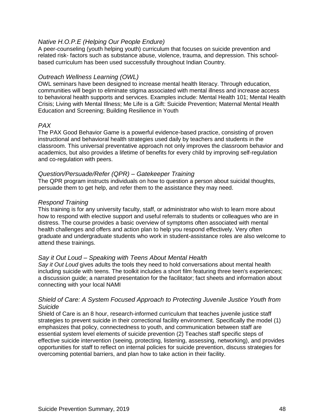#### *Native H.O.P.E (Helping Our People Endure)*

A peer-counseling (youth helping youth) curriculum that focuses on suicide prevention and related risk- factors such as substance abuse, violence, trauma, and depression. This schoolbased curriculum has been used successfully throughout Indian Country.

#### *Outreach Wellness Learning (OWL)*

OWL seminars have been designed to increase mental health literacy. Through education, communities will begin to eliminate stigma associated with mental illness and increase access to behavioral health supports and services. Examples include: Mental Health 101; Mental Health Crisis; Living with Mental Illness; Me Life is a Gift: Suicide Prevention; Maternal Mental Health Education and Screening; Building Resilience in Youth

#### *PAX*

The PAX Good Behavior Game is a powerful evidence-based practice, consisting of proven instructional and behavioral health strategies used daily by teachers and students in the classroom. This universal preventative approach not only improves the classroom behavior and academics, but also provides a lifetime of benefits for every child by improving self-regulation and co-regulation with peers.

#### *Question/Persuade/Refer (QPR) – Gatekeeper Training*

The QPR program instructs individuals on how to question a person about suicidal thoughts, persuade them to get help, and refer them to the assistance they may need.

#### *Respond Training*

This training is for any university faculty, staff, or administrator who wish to learn more about how to respond with elective support and useful referrals to students or colleagues who are in distress. The course provides a basic overview of symptoms often associated with mental health challenges and offers and action plan to help you respond effectively. Very often graduate and undergraduate students who work in student-assistance roles are also welcome to attend these trainings.

#### *Say it Out Loud – Speaking with Teens About Mental Health*

*Say it Out Loud* gives adults the tools they need to hold conversations about mental health including suicide with teens. The toolkit includes a short film featuring three teen's experiences; a discussion guide; a narrated presentation for the facilitator; fact sheets and information about connecting with your local NAMI

#### *Shield of Care: A System Focused Approach to Protecting Juvenile Justice Youth from Suicide*

Shield of Care is an 8 hour, research-informed curriculum that teaches juvenile justice staff strategies to prevent suicide in their correctional facility environment. Specifically the model (1) emphasizes that policy, connectedness to youth, and communication between staff are essential system level elements of suicide prevention (2) Teaches staff specific steps of effective suicide intervention (seeing, protecting, listening, assessing, networking), and provides opportunities for staff to reflect on internal policies for suicide prevention, discuss strategies for overcoming potential barriers, and plan how to take action in their facility.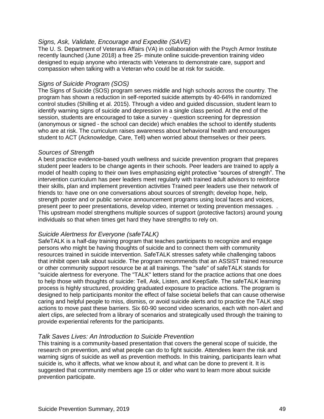#### *Signs, Ask, Validate, Encourage and Expedite (SAVE)*

The U. S. Department of Veterans Affairs (VA) in collaboration with the Psych Armor Institute recently launched (June 2018) a free 25- minute online suicide-prevention training video designed to equip anyone who interacts with Veterans to demonstrate care, support and compassion when talking with a Veteran who could be at risk for suicide.

#### *Signs of Suicide Program (SOS)*

The Signs of Suicide (SOS) program serves middle and high schools across the country. The program has shown a reduction in self-reported suicide attempts by 40-64% in randomized control studies (Shilling et al. 2015). Through a video and guided discussion, student learn to identify warning signs of suicide and depression in a single class period. At the end of the session, students are encouraged to take a survey - question screening for depression (anonymous or signed - the school can decide) which enables the school to identify students who are at risk. The curriculum raises awareness about behavioral health and encourages student to ACT (Acknowledge, Care, Tell) when worried about themselves or their peers.

#### *Sources of Strength*

A best practice evidence-based youth wellness and suicide prevention program that prepares student peer leaders to be change agents in their schools. Peer leaders are trained to apply a model of health coping to their own lives emphasizing eight protective "sources of strength". The intervention curriculum has peer leaders meet regularly with trained adult advisors to reinforce their skills, plan and implement prevention activities Trained peer leaders use their network of friends to: have one on one conversations about sources of strength; develop hope, help, strength poster and or public service announcement programs using local faces and voices, present peer to peer presentations, develop video, internet or texting prevention messages. . This upstream model strengthens multiple sources of support (protective factors) around young individuals so that when times get hard they have strengths to rely on.

#### *Suicide Alertness for Everyone (safeTALK)*

SafeTALK is a half-day training program that teaches participants to recognize and engage persons who might be having thoughts of suicide and to connect them with community resources trained in suicide intervention. SafeTALK stresses safety while challenging taboos that inhibit open talk about suicide. The program recommends that an ASSIST trained resource or other community support resource be at all trainings. The "safe" of safeTALK stands for "suicide alertness for everyone. The "TALK" letters stand for the practice actions that one does to help those with thoughts of suicide: Tell, Ask, Listen, and KeepSafe. The safeTALK learning process is highly structured, providing graduated exposure to practice actions. The program is designed to help participants monitor the effect of false societal beliefs that can cause otherwise caring and helpful people to miss, dismiss, or avoid suicide alerts and to practice the TALK step actions to move past these barriers. Six 60-90 second video scenarios, each with non-alert and alert clips, are selected from a library of scenarios and strategically used through the training to provide experiential referents for the participants.

#### *Talk Saves Lives: An Introduction to Suicide Prevention*

This training is a community-based presentation that covers the general scope of suicide, the research on prevention, and what people can do to fight suicide. Attendees learn the risk and warning signs of suicide as well as prevention methods. In this training, participants learn what suicide is, who it affects, what we know about it, and what can be done to prevent it. It is suggested that community members age 15 or older who want to learn more about suicide prevention participate.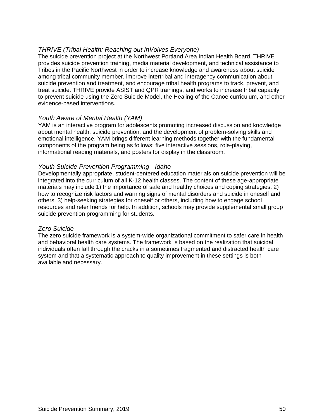#### *THRIVE (Tribal Health: Reaching out InVolves Everyone)*

The suicide prevention project at the Northwest Portland Area Indian Health Board. THRIVE provides suicide prevention training, media material development, and technical assistance to Tribes in the Pacific Northwest in order to increase knowledge and awareness about suicide among tribal community member, improve intertribal and interagency communication about suicide prevention and treatment, and encourage tribal health programs to track, prevent, and treat suicide. THRIVE provide ASIST and QPR trainings, and works to increase tribal capacity to prevent suicide using the Zero Suicide Model, the Healing of the Canoe curriculum, and other evidence-based interventions.

#### *Youth Aware of Mental Health (YAM)*

YAM is an interactive program for adolescents promoting increased discussion and knowledge about mental health, suicide prevention, and the development of problem-solving skills and emotional intelligence. YAM brings different learning methods together with the fundamental components of the program being as follows: five interactive sessions, role-playing, informational reading materials, and posters for display in the classroom.

#### *Youth Suicide Prevention Programming - Idaho*

Developmentally appropriate, student-centered education materials on suicide prevention will be integrated into the curriculum of all K-12 health classes. The content of these age-appropriate materials may include 1) the importance of safe and healthy choices and coping strategies, 2) how to recognize risk factors and warning signs of mental disorders and suicide in oneself and others, 3) help-seeking strategies for oneself or others, including how to engage school resources and refer friends for help. In addition, schools may provide supplemental small group suicide prevention programming for students.

#### *Zero Suicide*

The zero suicide framework is a system-wide organizational commitment to safer care in health and behavioral health care systems. The framework is based on the realization that suicidal individuals often fall through the cracks in a sometimes fragmented and distracted health care system and that a systematic approach to quality improvement in these settings is both available and necessary.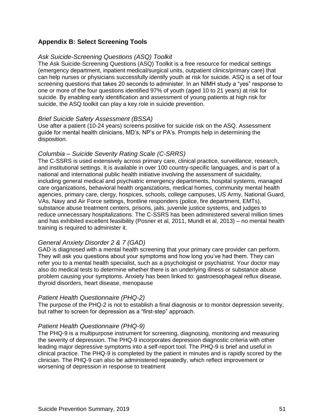## **Appendix B: Select Screening Tools**

#### *Ask Suicide-Screening Questions (ASQ) Toolkit*

The Ask Suicide-Screening Questions (ASQ) Toolkit is a free resource for medical settings (emergency department, inpatient medical/surgical units, outpatient clinics/primary care) that can help nurses or physicians successfully identify youth at risk for suicide. ASQ is a set of four screening questions that takes 20 seconds to administer. In an NIMH study a "yes" response to one or more of the four questions identified 97% of youth (aged 10 to 21 years) at risk for suicide. By enabling early identification and assessment of young patients at high risk for suicide, the ASQ toolkit can play a key role in suicide prevention.

#### *Brief Suicide Safety Assessment (BSSA)*

Use after a patient (10-24 years) screens positive for suicide risk on the ASQ. Assessment guide for mental health clinicians, MD's, NP's or PA's. Prompts help in determining the disposition.

#### *Columbia – Suicide Severity Rating Scale (C-SRRS)*

The C-SSRS is used extensively across primary care, clinical practice, surveillance, research, and institutional settings. It is available in over 100 country-specific languages, and is part of a national and international public health initiative involving the assessment of suicidality, including general medical and psychiatric emergency departments, hospital systems, managed care organizations, behavioral health organizations, medical homes, community mental health agencies, primary care, clergy, hospices, schools, college campuses, US Army, National Guard, VAs, Navy and Air Force settings, frontline responders (police, fire department, EMTs), substance abuse treatment centers, prisons, jails, juvenile justice systems, and judges to reduce unnecessary hospitalizations. The C-SSRS has been administered several million times and has exhibited excellent feasibility (Posner et al, 2011, Mundt et al, 2013) – no mental health training is required to administer it.

#### *General Anxiety Disorder 2 & 7 (GAD)*

GAD is diagnosed with a mental health screening that your primary care provider can perform. They will ask you questions about your symptoms and how long you've had them. They can refer you to a mental health specialist, such as a psychologist or psychiatrist. Your doctor may also do medical tests to determine whether there is an underlying illness or substance abuse problem causing your symptoms. Anxiety has been linked to: gastroesophageal reflux disease, thyroid disorders, heart disease, menopause

#### *Patient Health Questionnaire (PHQ-2)*

The purpose of the PHQ-2 is not to establish a final diagnosis or to monitor depression severity, but rather to screen for depression as a "first-step" approach.

#### *Patient Health Questionnaire (PHQ-9)*

The PHQ-9 is a multipurpose instrument for screening, diagnosing, monitoring and measuring the severity of depression. The PHQ-9 incorporates depression diagnostic criteria with other leading major depressive symptoms into a self-report tool. The PHQ-9 is brief and useful in clinical practice. The PHQ-9 is completed by the patient in minutes and is rapidly scored by the clinician. The PHQ-9 can also be administered repeatedly, which reflect improvement or worsening of depression in response to treatment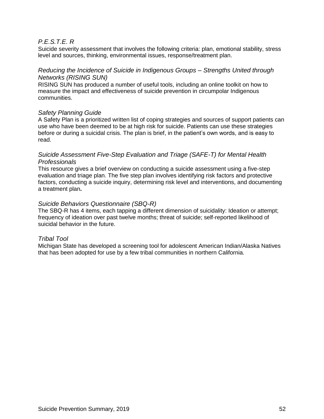#### *P.E.S.T.E. R*

Suicide severity assessment that involves the following criteria: plan, emotional stability, stress level and sources, thinking, environmental issues, response/treatment plan.

#### *Reducing the Incidence of Suicide in Indigenous Groups – Strengths United through Networks (RISING SUN)*

RISING SUN has produced a number of useful tools, including an online toolkit on how to measure the impact and effectiveness of suicide prevention in circumpolar Indigenous communities.

#### *Safety Planning Guide*

A Safety Plan is a prioritized written list of coping strategies and sources of support patients can use who have been deemed to be at high risk for suicide. Patients can use these strategies before or during a suicidal crisis. The plan is brief, in the patient's own words, and is easy to read.

#### *Suicide Assessment Five-Step Evaluation and Triage (SAFE-T) for Mental Health Professionals*

This resource gives a brief overview on conducting a suicide assessment using a five-step evaluation and triage plan. The five step plan involves identifying risk factors and protective factors, conducting a suicide inquiry, determining risk level and interventions, and documenting a treatment plan**.** 

#### *Suicide Behaviors Questionnaire (SBQ-R)*

The SBQ-R has 4 items, each tapping a different dimension of suicidality: Ideation or attempt; frequency of ideation over past twelve months; threat of suicide; self-reported likelihood of suicidal behavior in the future.

#### *Tribal Tool*

Michigan State has developed a screening tool for adolescent American Indian/Alaska Natives that has been adopted for use by a few tribal communities in northern California.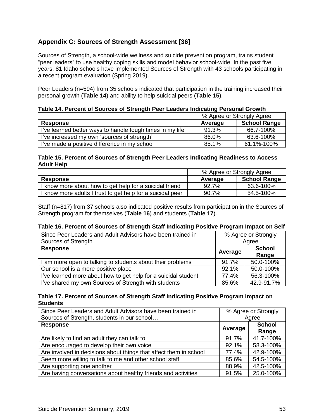## **Appendix C: Sources of Strength Assessment [36]**

Sources of Strength, a school-wide wellness and suicide prevention program, trains student "peer leaders" to use healthy coping skills and model behavior school-wide. In the past five years, 81 Idaho schools have implemented Sources of Strength with 43 schools participating in a recent program evaluation (Spring 2019).

Peer Leaders (n=594) from 35 schools indicated that participation in the training increased their personal growth (**Table 14**) and ability to help suicidal peers (**Table 15**).

| Table 14. Percent of Sources of Strength Peer Leaders Indicating Personal Growth |  |  |
|----------------------------------------------------------------------------------|--|--|
|----------------------------------------------------------------------------------|--|--|

|                                                           | % Agree or Strongly Agree |                     |  |
|-----------------------------------------------------------|---------------------------|---------------------|--|
| <b>Response</b>                                           | Average                   | <b>School Range</b> |  |
| I've learned better ways to handle tough times in my life | 91.3%                     | 66.7-100%           |  |
| I've increased my own 'sources of strength'               | 86.0%                     | 63.6-100%           |  |
| I've made a positive difference in my school              | 85.1%                     | 61.1%-100%          |  |

#### **Table 15. Percent of Sources of Strength Peer Leaders Indicating Readiness to Access Adult Help**

|                                                            | % Agree or Strongly Agree |                     |  |
|------------------------------------------------------------|---------------------------|---------------------|--|
| <b>Response</b>                                            | Average                   | <b>School Range</b> |  |
| I know more about how to get help for a suicidal friend    | 92.7%                     | 63.6-100%           |  |
| I know more adults I trust to get help for a suicidal peer | 90.7%                     | 54.5-100%           |  |

Staff (n=817) from 37 schools also indicated positive results from participation in the Sources of Strength program for themselves (**Table 16**) and students (**Table 17**).

#### **Table 16. Percent of Sources of Strength Staff Indicating Positive Program Impact on Self**

| Since Peer Leaders and Adult Advisors have been trained in     |         | % Agree or Strongly    |
|----------------------------------------------------------------|---------|------------------------|
| Sources of Strength                                            |         | Agree                  |
| <b>Response</b>                                                | Average | <b>School</b><br>Range |
| I am more open to talking to students about their problems     | 91.7%   | 50.0-100%              |
| Our school is a more positive place                            | 92.1%   | 50.0-100%              |
| I've learned more about how to get help for a suicidal student | 77.4%   | 56.3-100%              |
| I've shared my own Sources of Strength with students           | 85.6%   | 42.9-91.7%             |

#### **Table 17. Percent of Sources of Strength Staff Indicating Positive Program Impact on Students**

| Since Peer Leaders and Adult Advisors have been trained in        | % Agree or Strongly      |           |
|-------------------------------------------------------------------|--------------------------|-----------|
| Sources of Strength, students in our school                       |                          | Agree     |
| <b>Response</b>                                                   | <b>School</b><br>Average |           |
|                                                                   |                          | Range     |
| Are likely to find an adult they can talk to                      | 91.7%                    | 41.7-100% |
| Are encouraged to develop their own voice                         | 92.1%                    | 58.3-100% |
| Are involved in decisions about things that affect them in school | 77.4%                    | 42.9-100% |
| Seem more willing to talk to me and other school staff            | 85.6%                    | 54.5-100% |
| Are supporting one another                                        | 88.9%                    | 42.5-100% |
| Are having conversations about healthy friends and activities     | 91.5%                    | 25.0-100% |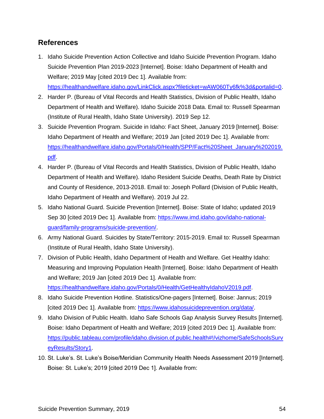# **References**

- 1. Idaho Suicide Prevention Action Collective and Idaho Suicide Prevention Program. Idaho Suicide Prevention Plan 2019-2023 [Internet]. Boise: Idaho Department of Health and Welfare; 2019 May [cited 2019 Dec 1]. Available from: https://healthandwelfare.idaho.gov/LinkClick.aspx?fileticket=wAW060Ty6fk%3d&portalid=0.
- 2. Harder P. (Bureau of Vital Records and Health Statistics, Division of Public Health, Idaho Department of Health and Welfare). Idaho Suicide 2018 Data. Email to: Russell Spearman (Institute of Rural Health, Idaho State University). 2019 Sep 12.
- 3. Suicide Prevention Program. Suicide in Idaho: Fact Sheet, January 2019 [Internet]. Boise: Idaho Department of Health and Welfare; 2019 Jan [cited 2019 Dec 1]. Available from: https://healthandwelfare.idaho.gov/Portals/0/Health/SPP/Fact%20Sheet\_January%202019. pdf.
- 4. Harder P. (Bureau of Vital Records and Health Statistics, Division of Public Health, Idaho Department of Health and Welfare). Idaho Resident Suicide Deaths, Death Rate by District and County of Residence, 2013-2018. Email to: Joseph Pollard (Division of Public Health, Idaho Department of Health and Welfare). 2019 Jul 22.
- 5. Idaho National Guard. Suicide Prevention [Internet]. Boise: State of Idaho; updated 2019 Sep 30 [cited 2019 Dec 1]. Available from: https://www.imd.idaho.gov/idaho-nationalguard/family-programs/suicide-prevention/.
- 6. Army National Guard. Suicides by State/Territory: 2015-2019. Email to: Russell Spearman (Institute of Rural Health, Idaho State University).
- 7. Division of Public Health, Idaho Department of Health and Welfare. Get Healthy Idaho: Measuring and Improving Population Health [Internet]. Boise: Idaho Department of Health and Welfare; 2019 Jan [cited 2019 Dec 1]. Available from: https://healthandwelfare.idaho.gov/Portals/0/Health/GetHealthyIdahoV2019.pdf.
- 8. Idaho Suicide Prevention Hotline. Statistics/One-pagers [Internet]. Boise: Jannus; 2019 [cited 2019 Dec 1]. Available from: https://www.idahosuicideprevention.org/data/.
- 9. Idaho Division of Public Health. Idaho Safe Schools Gap Analysis Survey Results [Internet]. Boise: Idaho Department of Health and Welfare; 2019 [cited 2019 Dec 1]. Available from: https://public.tableau.com/profile/idaho.division.of.public.health#!/vizhome/SafeSchoolsSurv eyResults/Story1.
- 10. St. Luke's. St. Luke's Boise/Meridian Community Health Needs Assessment 2019 [Internet]. Boise: St. Luke's; 2019 [cited 2019 Dec 1]. Available from: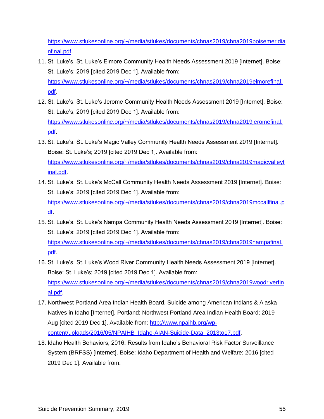https://www.stlukesonline.org/~/media/stlukes/documents/chnas2019/chna2019boisemeridia nfinal.pdf.

- 11. St. Luke's. St. Luke's Elmore Community Health Needs Assessment 2019 [Internet]. Boise: St. Luke's; 2019 [cited 2019 Dec 1]. Available from: https://www.stlukesonline.org/~/media/stlukes/documents/chnas2019/chna2019elmorefinal. pdf.
- 12. St. Luke's. St. Luke's Jerome Community Health Needs Assessment 2019 [Internet]. Boise: St. Luke's; 2019 [cited 2019 Dec 1]. Available from: https://www.stlukesonline.org/~/media/stlukes/documents/chnas2019/chna2019jeromefinal. pdf.
- 13. St. Luke's. St. Luke's Magic Valley Community Health Needs Assessment 2019 [Internet]. Boise: St. Luke's; 2019 [cited 2019 Dec 1]. Available from: https://www.stlukesonline.org/~/media/stlukes/documents/chnas2019/chna2019magicvalleyf inal.pdf.
- 14. St. Luke's. St. Luke's McCall Community Health Needs Assessment 2019 [Internet]. Boise: St. Luke's; 2019 [cited 2019 Dec 1]. Available from: https://www.stlukesonline.org/~/media/stlukes/documents/chnas2019/chna2019mccallfinal.p df.
- 15. St. Luke's. St. Luke's Nampa Community Health Needs Assessment 2019 [Internet]. Boise: St. Luke's; 2019 [cited 2019 Dec 1]. Available from: https://www.stlukesonline.org/~/media/stlukes/documents/chnas2019/chna2019nampafinal. pdf.
- 16. St. Luke's. St. Luke's Wood River Community Health Needs Assessment 2019 [Internet]. Boise: St. Luke's; 2019 [cited 2019 Dec 1]. Available from: https://www.stlukesonline.org/~/media/stlukes/documents/chnas2019/chna2019woodriverfin al.pdf.
- 17. Northwest Portland Area Indian Health Board. Suicide among American Indians & Alaska Natives in Idaho [Internet]. Portland: Northwest Portland Area Indian Health Board; 2019 Aug [cited 2019 Dec 1]. Available from: http://www.npaihb.org/wpcontent/uploads/2016/05/NPAIHB\_Idaho-AIAN-Suicide-Data\_2013to17.pdf.
- 18. Idaho Health Behaviors, 2016: Results from Idaho's Behavioral Risk Factor Surveillance System (BRFSS) [Internet]. Boise: Idaho Department of Health and Welfare; 2016 [cited 2019 Dec 1]. Available from: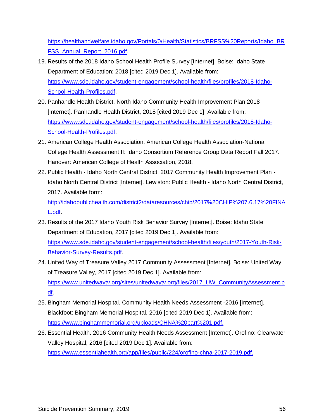https://healthandwelfare.idaho.gov/Portals/0/Health/Statistics/BRFSS%20Reports/Idaho\_BR FSS Annual Report 2016.pdf.

- 19. Results of the 2018 Idaho School Health Profile Survey [Internet]. Boise: Idaho State Department of Education; 2018 [cited 2019 Dec 1]. Available from: https://www.sde.idaho.gov/student-engagement/school-health/files/profiles/2018-Idaho-School-Health-Profiles.pdf.
- 20. Panhandle Health District. North Idaho Community Health Improvement Plan 2018 [Internet]. Panhandle Health District, 2018 [cited 2019 Dec 1]. Available from: https://www.sde.idaho.gov/student-engagement/school-health/files/profiles/2018-Idaho-School-Health-Profiles.pdf.
- 21. American College Health Association. American College Health Association-National College Health Assessment II: Idaho Consortium Reference Group Data Report Fall 2017. Hanover: American College of Health Association, 2018.
- 22. Public Health Idaho North Central District. 2017 Community Health Improvement Plan Idaho North Central District [Internet]. Lewiston: Public Health - Idaho North Central District, 2017. Available form:

http://idahopublichealth.com/district2/dataresources/chip/2017%20CHIP%207.6.17%20FINA L.pdf.

- 23. Results of the 2017 Idaho Youth Risk Behavior Survey [Internet]. Boise: Idaho State Department of Education, 2017 [cited 2019 Dec 1]. Available from: https://www.sde.idaho.gov/student-engagement/school-health/files/youth/2017-Youth-Risk-Behavior-Survey-Results.pdf.
- 24. United Way of Treasure Valley 2017 Community Assessment [Internet]. Boise: United Way of Treasure Valley, 2017 [cited 2019 Dec 1]. Available from: https://www.unitedwaytv.org/sites/unitedwaytv.org/files/2017\_UW\_CommunityAssessment.p df.
- 25. Bingham Memorial Hospital. Community Health Needs Assessment -2016 [Internet]. Blackfoot: Bingham Memorial Hospital, 2016 [cited 2019 Dec 1]. Available from: https://www.binghammemorial.org/uploads/CHNA%20part%201.pdf.
- 26. Essential Health. 2016 Community Health Needs Assessment [Internet]. Orofino: Clearwater Valley Hospital, 2016 [cited 2019 Dec 1]. Available from: https://www.essentiahealth.org/app/files/public/224/orofino-chna-2017-2019.pdf.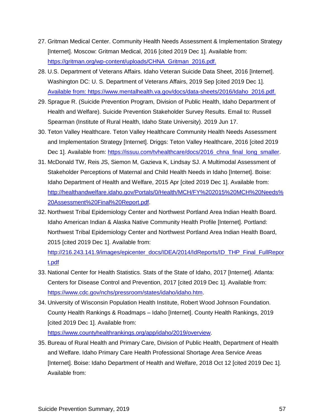- 27. Gritman Medical Center. Community Health Needs Assessment & Implementation Strategy [Internet]. Moscow: Gritman Medical, 2016 [cited 2019 Dec 1]. Available from: https://gritman.org/wp-content/uploads/CHNA\_Gritman\_2016.pdf.
- 28. U.S. Department of Veterans Affairs. Idaho Veteran Suicide Data Sheet, 2016 [Internet]. Washington DC: U. S. Department of Veterans Affairs, 2019 Sep [cited 2019 Dec 1]. Available from: https://www.mentalhealth.va.gov/docs/data-sheets/2016/Idaho\_2016.pdf.
- 29. Sprague R. (Suicide Prevention Program, Division of Public Health, Idaho Department of Health and Welfare). Suicide Prevention Stakeholder Survey Results. Email to: Russell Spearman (Institute of Rural Health, Idaho State University). 2019 Jun 17.
- 30. Teton Valley Healthcare. Teton Valley Healthcare Community Health Needs Assessment and Implementation Strategy [Internet]. Driggs: Teton Valley Healthcare, 2016 [cited 2019 Dec 1]. Available from: https://issuu.com/tvhealthcare/docs/2016 chna final long smaller.
- 31. McDonald TW, Reis JS, Siemon M, Gazieva K, Lindsay SJ. A Multimodal Assessment of Stakeholder Perceptions of Maternal and Child Health Needs in Idaho [Internet]. Boise: Idaho Department of Health and Welfare, 2015 Apr [cited 2019 Dec 1]. Available from: http://healthandwelfare.idaho.gov/Portals/0/Health/MCH/FY%202015%20MCH%20Needs% 20Assessment%20Final%20Report.pdf.
- 32. Northwest Tribal Epidemiology Center and Northwest Portland Area Indian Health Board. Idaho American Indian & Alaska Native Community Health Profile [Internet]. Portland: Northwest Tribal Epidemiology Center and Northwest Portland Area Indian Health Board, 2015 [cited 2019 Dec 1]. Available from:

http://216.243.141.9/images/epicenter\_docs/IDEA/2014/IdReports/ID\_THP\_Final\_FullRepor t.pdf

- 33. National Center for Health Statistics. Stats of the State of Idaho, 2017 [Internet]. Atlanta: Centers for Disease Control and Prevention, 2017 [cited 2019 Dec 1]. Available from: https://www.cdc.gov/nchs/pressroom/states/idaho/idaho.htm.
- 34. University of Wisconsin Population Health Institute, Robert Wood Johnson Foundation. County Health Rankings & Roadmaps – Idaho [Internet]. County Health Rankings, 2019 [cited 2019 Dec 1]. Available from:

https://www.countyhealthrankings.org/app/idaho/2019/overview.

35. Bureau of Rural Health and Primary Care, Division of Public Health, Department of Health and Welfare. Idaho Primary Care Health Professional Shortage Area Service Areas [Internet]. Boise: Idaho Department of Health and Welfare, 2018 Oct 12 [cited 2019 Dec 1]. Available from: